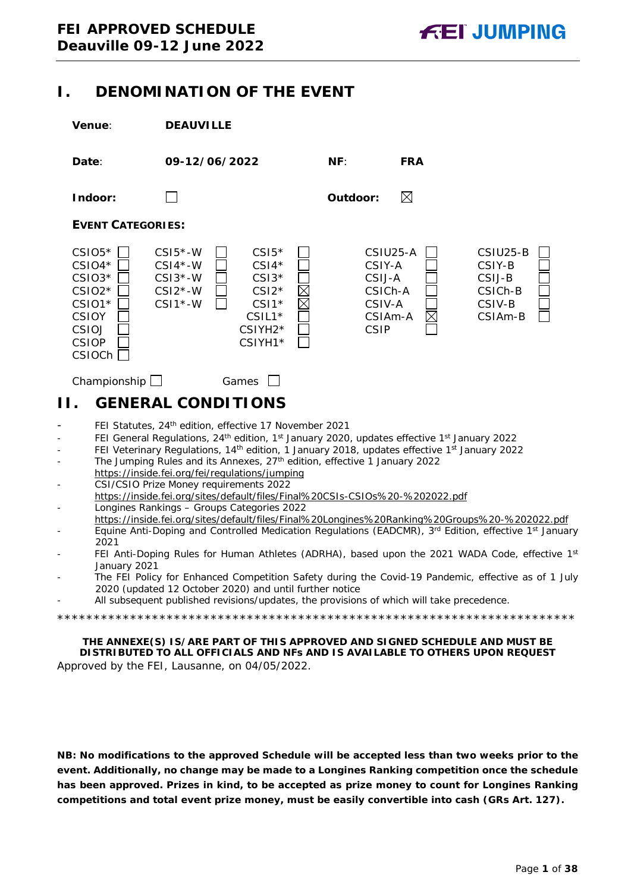# <span id="page-0-0"></span>**I. DENOMINATION OF THE EVENT**

|                        | <b>Venue:</b>                                                                                             | <b>DEAUVILLE</b>                                                                                                                                                                                                                                                                                                                                                                                                                                                                                                                                                                                                                                                                                                                                                                             |                                                                             |                                                                                                                                                                                                                                                                                                                                                                                                                 |
|------------------------|-----------------------------------------------------------------------------------------------------------|----------------------------------------------------------------------------------------------------------------------------------------------------------------------------------------------------------------------------------------------------------------------------------------------------------------------------------------------------------------------------------------------------------------------------------------------------------------------------------------------------------------------------------------------------------------------------------------------------------------------------------------------------------------------------------------------------------------------------------------------------------------------------------------------|-----------------------------------------------------------------------------|-----------------------------------------------------------------------------------------------------------------------------------------------------------------------------------------------------------------------------------------------------------------------------------------------------------------------------------------------------------------------------------------------------------------|
|                        | Date:                                                                                                     | 09-12/06/2022                                                                                                                                                                                                                                                                                                                                                                                                                                                                                                                                                                                                                                                                                                                                                                                | NF:                                                                         | <b>FRA</b>                                                                                                                                                                                                                                                                                                                                                                                                      |
|                        | Indoor:                                                                                                   |                                                                                                                                                                                                                                                                                                                                                                                                                                                                                                                                                                                                                                                                                                                                                                                              | Outdoor:                                                                    | $\boxtimes$                                                                                                                                                                                                                                                                                                                                                                                                     |
|                        | <b>EVENT CATEGORIES:</b>                                                                                  |                                                                                                                                                                                                                                                                                                                                                                                                                                                                                                                                                                                                                                                                                                                                                                                              |                                                                             |                                                                                                                                                                                                                                                                                                                                                                                                                 |
|                        | $CSIO5*$<br>$CSIO4*$<br>$CSIO3*$<br>$CSIO2*$<br>CSIO1*<br><b>CSIOY</b><br>CSIOJ<br><b>CSIOP</b><br>CSIOCh | $CSI5$ *-W<br>$CSI5*$<br>$CSI4*$<br>$CSI4*-W$<br>$CSI3*-W$<br>$CSI3*$<br>$CSI2*-W$<br>$CSI2*$<br>$CSI1*-W$<br>$CSI*$<br>$CSIL1*$<br>CSIYH <sub>2</sub> *<br>CSIYH1*                                                                                                                                                                                                                                                                                                                                                                                                                                                                                                                                                                                                                          | CSIU25-A<br>CSIY-A<br>CSIJ-A<br>CSICh-A<br>CSIV-A<br>CSIAm-A<br><b>CSIP</b> | CSIU25-B<br>CSIY-B<br>CSIJ-B<br>CSICh-B<br>CSIV-B<br>CSIAm-B                                                                                                                                                                                                                                                                                                                                                    |
|                        | Championship $\Box$                                                                                       | Games                                                                                                                                                                                                                                                                                                                                                                                                                                                                                                                                                                                                                                                                                                                                                                                        |                                                                             |                                                                                                                                                                                                                                                                                                                                                                                                                 |
| Н.                     |                                                                                                           | <b>GENERAL CONDITIONS</b>                                                                                                                                                                                                                                                                                                                                                                                                                                                                                                                                                                                                                                                                                                                                                                    |                                                                             |                                                                                                                                                                                                                                                                                                                                                                                                                 |
| ÷,<br>÷<br>-<br>-<br>÷ | 2021<br>January 2021                                                                                      | FEI Statutes, 24th edition, effective 17 November 2021<br>FEI General Regulations, 24 <sup>th</sup> edition, 1 <sup>st</sup> January 2020, updates effective 1 <sup>st</sup> January 2022<br>FEI Veterinary Regulations, 14 <sup>th</sup> edition, 1 January 2018, updates effective 1 <sup>st</sup> January 2022<br>The Jumping Rules and its Annexes, 27 <sup>th</sup> edition, effective 1 January 2022<br>https://inside.fei.org/fei/regulations/jumping<br>CSI/CSIO Prize Money requirements 2022<br>https://inside.fei.org/sites/default/files/Final%20CSIs-CSIOs%20-%202022.pdf<br>Longines Rankings - Groups Categories 2022<br>2020 (updated 12 October 2020) and until further notice<br>All subsequent published revisions/updates, the provisions of which will take precedence. |                                                                             | https://inside.fei.org/sites/default/files/Final%20Longines%20Ranking%20Groups%20-%202022.pdf<br>Equine Anti-Doping and Controlled Medication Regulations (EADCMR), 3rd Edition, effective 1st January<br>FEI Anti-Doping Rules for Human Athletes (ADRHA), based upon the 2021 WADA Code, effective 1st<br>The FEI Policy for Enhanced Competition Safety during the Covid-19 Pandemic, effective as of 1 July |
|                        |                                                                                                           |                                                                                                                                                                                                                                                                                                                                                                                                                                                                                                                                                                                                                                                                                                                                                                                              |                                                                             |                                                                                                                                                                                                                                                                                                                                                                                                                 |
|                        |                                                                                                           | THE ANNEXE(S) IS/ARE PART OF THIS APPROVED AND SIGNED SCHEDULE AND MUST BE                                                                                                                                                                                                                                                                                                                                                                                                                                                                                                                                                                                                                                                                                                                   |                                                                             |                                                                                                                                                                                                                                                                                                                                                                                                                 |

<span id="page-0-1"></span>**DISTRIBUTED TO ALL OFFICIALS AND NFs AND IS AVAILABLE TO OTHERS UPON REQUEST** Approved by the FEI, Lausanne, on 04/05/2022.

**NB: No modifications to the approved Schedule will be accepted less than two weeks prior to the event. Additionally, no change may be made to a Longines Ranking competition once the schedule has been approved. Prizes in kind, to be accepted as prize money to count for Longines Ranking competitions and total event prize money, must be easily convertible into cash (GRs Art. 127).**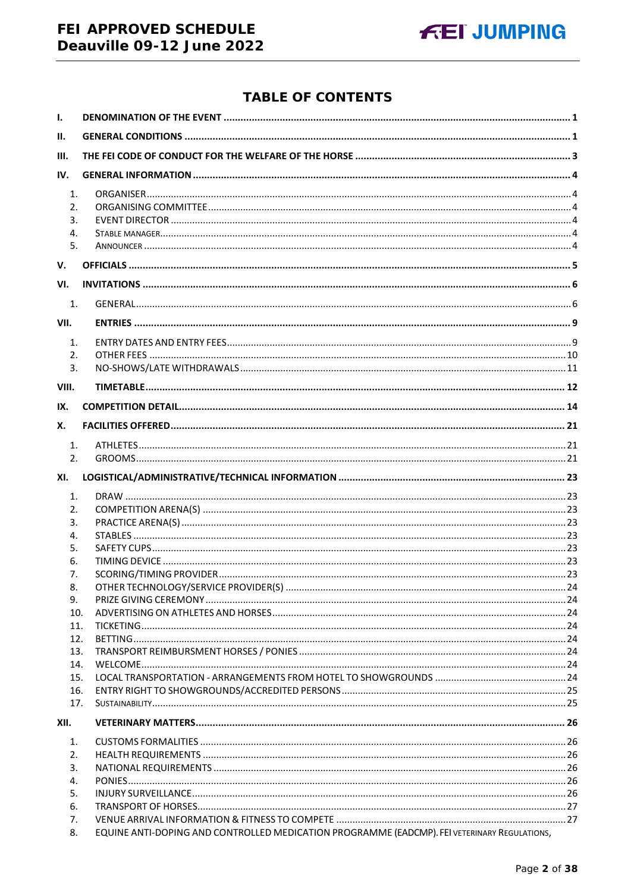# FEI APPROVED SCHEDULE Deauville 09-12 June 2022



# **TABLE OF CONTENTS**

| $\mathbf{I}$ . |                                                                                              |  |
|----------------|----------------------------------------------------------------------------------------------|--|
| Ш.             |                                                                                              |  |
| III.           |                                                                                              |  |
| IV.            |                                                                                              |  |
| 1.             |                                                                                              |  |
| 2.             |                                                                                              |  |
| 3.             |                                                                                              |  |
| 4.             |                                                                                              |  |
| 5.             |                                                                                              |  |
| v.             |                                                                                              |  |
| VI.            |                                                                                              |  |
| 1.             |                                                                                              |  |
| VII.           |                                                                                              |  |
| $\mathbf{1}$ . |                                                                                              |  |
| 2.             |                                                                                              |  |
| 3.             |                                                                                              |  |
| VIII.          |                                                                                              |  |
| IX.            |                                                                                              |  |
| Х.             |                                                                                              |  |
| 1.             |                                                                                              |  |
| 2.             |                                                                                              |  |
|                |                                                                                              |  |
| XI.            |                                                                                              |  |
| 1.             |                                                                                              |  |
| 2.             |                                                                                              |  |
| 3.<br>4.       |                                                                                              |  |
| 5.             |                                                                                              |  |
| 6.             |                                                                                              |  |
| 7.             |                                                                                              |  |
| 8.             |                                                                                              |  |
| 9.             |                                                                                              |  |
| 10.            |                                                                                              |  |
| 11.            |                                                                                              |  |
| 12.            |                                                                                              |  |
| 13.            |                                                                                              |  |
| 14.            |                                                                                              |  |
| 15.<br>16.     |                                                                                              |  |
| 17.            |                                                                                              |  |
| XII.           |                                                                                              |  |
| 1.             |                                                                                              |  |
| 2.             |                                                                                              |  |
| 3.             |                                                                                              |  |
| 4.             |                                                                                              |  |
| 5.             |                                                                                              |  |
| 6.             |                                                                                              |  |
| 7.             |                                                                                              |  |
| 8.             | EQUINE ANTI-DOPING AND CONTROLLED MEDICATION PROGRAMME (EADCMP). FEI VETERINARY REGULATIONS, |  |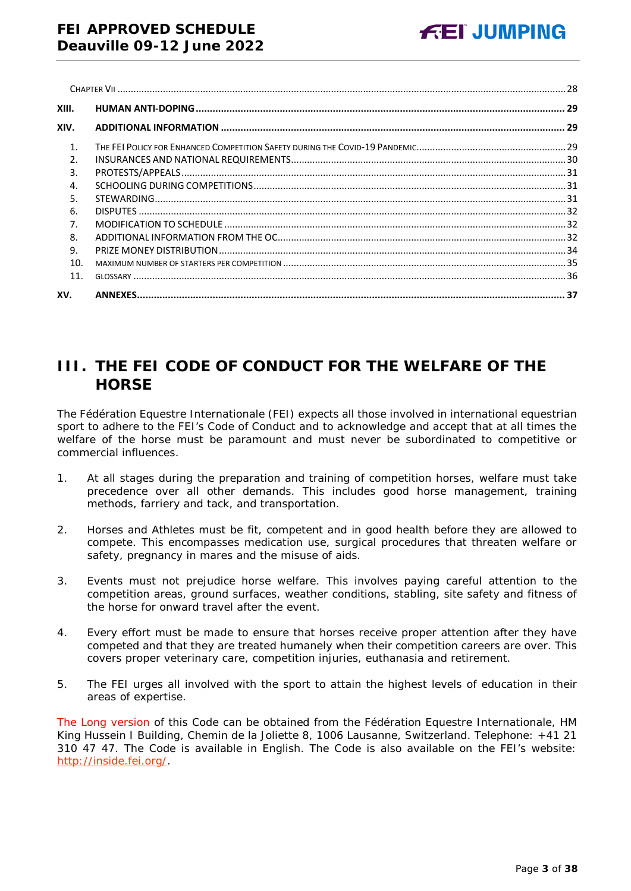| XIII.          |  |
|----------------|--|
| XIV.           |  |
| $\mathbf{1}$ . |  |
| $\mathcal{P}$  |  |
| 3.             |  |
| $\overline{4}$ |  |
| 5.             |  |
| 6.             |  |
| 7.             |  |
| 8.             |  |
| 9.             |  |
| 10.            |  |
| 11.            |  |
| XV.            |  |

# <span id="page-2-0"></span>**III. THE FEI CODE OF CONDUCT FOR THE WELFARE OF THE HORSE**

The Fédération Equestre Internationale (FEI) expects all those involved in international equestrian sport to adhere to the FEI's Code of Conduct and to acknowledge and accept that at all times the welfare of the horse must be paramount and must never be subordinated to competitive or commercial influences.

- 1. At all stages during the preparation and training of competition horses, welfare must take precedence over all other demands. This includes good horse management, training methods, farriery and tack, and transportation.
- 2. Horses and Athletes must be fit, competent and in good health before they are allowed to compete. This encompasses medication use, surgical procedures that threaten welfare or safety, pregnancy in mares and the misuse of aids.
- 3. Events must not prejudice horse welfare. This involves paying careful attention to the competition areas, ground surfaces, weather conditions, stabling, site safety and fitness of the horse for onward travel after the event.
- 4. Every effort must be made to ensure that horses receive proper attention after they have competed and that they are treated humanely when their competition careers are over. This covers proper veterinary care, competition injuries, euthanasia and retirement.
- 5. The FEI urges all involved with the sport to attain the highest levels of education in their areas of expertise.

The Long version of this Code can be obtained from the Fédération Equestre Internationale, HM King Hussein I Building, Chemin de la Joliette 8, 1006 Lausanne, Switzerland. Telephone: +41 21 310 47 47. The Code is available in English. The Code is also available on the FEI's website: [http://inside.fei.org/.](http://inside.fei.org/)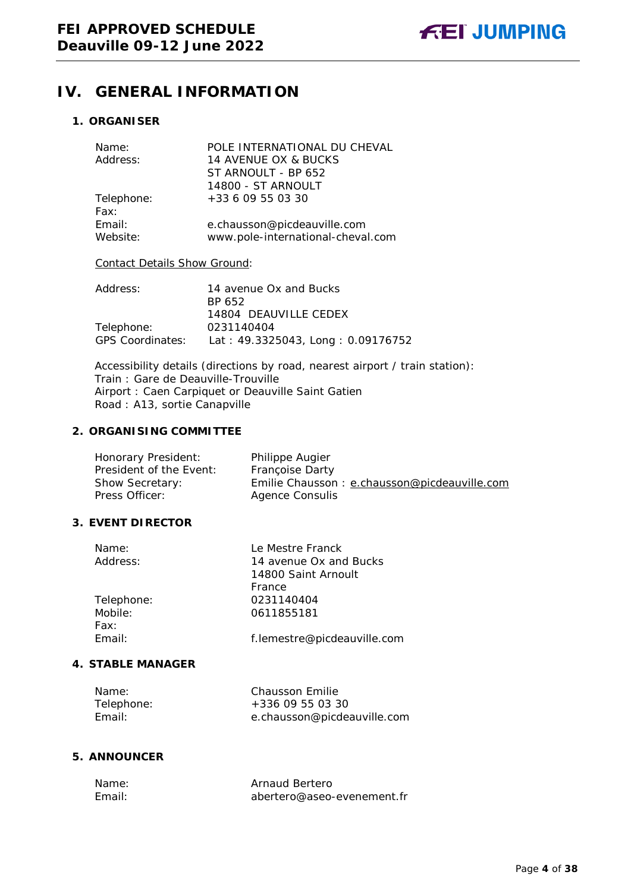# <span id="page-3-0"></span>**IV. GENERAL INFORMATION**

# <span id="page-3-1"></span>**1. ORGANISER**

| POLE INTERNATIONAL DU CHEVAL                                     |
|------------------------------------------------------------------|
| 14 AVENUE OX & BUCKS                                             |
| ST ARNOULT - BP 652                                              |
| 14800 - ST ARNOULT                                               |
| +33 6 09 55 03 30                                                |
|                                                                  |
| e.chausson@picdeauville.com<br>www.pole-international-cheval.com |
|                                                                  |

## Contact Details Show Ground:

| Address:                | 14 avenue Ox and Bucks            |
|-------------------------|-----------------------------------|
|                         | BP 652                            |
|                         | 14804 DEAUVILLE CEDEX             |
| Telephone:              | 0231140404                        |
| <b>GPS Coordinates:</b> | Lat: 49.3325043, Long: 0.09176752 |

Accessibility details (directions by road, nearest airport / train station): Train : Gare de Deauville-Trouville Airport : Caen Carpiquet or Deauville Saint Gatien Road : A13, sortie Canapville

#### <span id="page-3-2"></span>**2. ORGANISING COMMITTEE**

| Honorary President:     | Philippe Augier                              |
|-------------------------|----------------------------------------------|
| President of the Event: | <b>Françoise Darty</b>                       |
| <b>Show Secretary:</b>  | Emilie Chausson: e.chausson@picdeauville.com |
| Press Officer:          | Agence Consulis                              |

### <span id="page-3-3"></span>**3. EVENT DIRECTOR**

| Name:          | Le Mestre Franck              |
|----------------|-------------------------------|
| Address:       | 14 avenue Ox and Bucks        |
|                | 14800 Saint Arnoult<br>France |
| Telephone:     | 0231140404                    |
| Mobile:        | 0611855181                    |
| Fax:<br>Email: | f.lemestre@picdeauville.com   |

#### <span id="page-3-4"></span>**4. STABLE MANAGER**

| Name:      | Chausson Emilie             |
|------------|-----------------------------|
| Telephone: | $+33609550330$              |
| Fmail:     | e.chausson@picdeauville.com |

### <span id="page-3-5"></span>**5. ANNOUNCER**

| Name:  | Arnaud Bertero             |
|--------|----------------------------|
| Fmail: | abertero@aseo-evenement.fr |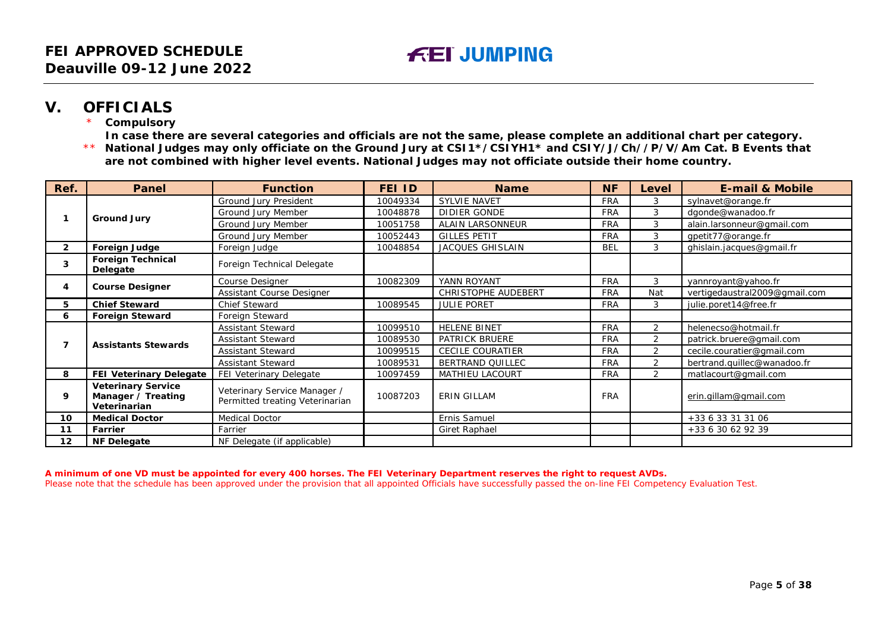# **V. OFFICIALS**

**Compulsory** 

**In case there are several categories and officials are not the same, please complete an additional chart per category.**

\*\* **National Judges may only officiate on the Ground Jury at CSI1\*/CSIYH1\* and CSIY/J/Ch//P/V/Am Cat. B Events that are not combined with higher level events. National Judges may not officiate outside their home country.**

| Ref.         | <b>Panel</b>                                                    | <b>Function</b>                                                 | FEI ID   | <b>Name</b>             | <b>NF</b>  | Level          | <b>E-mail &amp; Mobile</b>    |
|--------------|-----------------------------------------------------------------|-----------------------------------------------------------------|----------|-------------------------|------------|----------------|-------------------------------|
|              |                                                                 | Ground Jury President                                           | 10049334 | <b>SYLVIE NAVET</b>     | <b>FRA</b> | 3              | sylnavet@orange.fr            |
|              | <b>Ground Jury</b>                                              | Ground Jury Member                                              | 10048878 | DIDIER GONDE            | <b>FRA</b> | 3              | dgonde@wanadoo.fr             |
|              |                                                                 | Ground Jury Member                                              | 10051758 | <b>ALAIN LARSONNEUR</b> | <b>FRA</b> | 3              | alain.larsonneur@gmail.com    |
|              |                                                                 | Ground Jury Member                                              | 10052443 | <b>GILLES PETIT</b>     | <b>FRA</b> | 3              | gpetit77@orange.fr            |
| $\mathbf{2}$ | Foreign Judge                                                   | Foreign Judge                                                   | 10048854 | <b>JACQUES GHISLAIN</b> | <b>BEL</b> | 3              | ghislain.jacques@gmail.fr     |
| 3            | <b>Foreign Technical</b><br>Delegate                            | Foreign Technical Delegate                                      |          |                         |            |                |                               |
|              |                                                                 | Course Designer                                                 | 10082309 | YANN ROYANT             | <b>FRA</b> | 3              | yannroyant@yahoo.fr           |
| 4            | <b>Course Designer</b>                                          | Assistant Course Designer                                       |          | CHRISTOPHE AUDEBERT     | <b>FRA</b> | Nat            | vertigedaustral2009@gmail.com |
| 5.           | <b>Chief Steward</b>                                            | <b>Chief Steward</b>                                            | 10089545 | <b>JULIE PORET</b>      | <b>FRA</b> | 3              | julie.poret14@free.fr         |
| 6            | <b>Foreign Steward</b>                                          | Foreign Steward                                                 |          |                         |            |                |                               |
|              | <b>Assistants Stewards</b>                                      | <b>Assistant Steward</b>                                        | 10099510 | <b>HELENE BINET</b>     | <b>FRA</b> | $\overline{2}$ | helenecso@hotmail.fr          |
|              |                                                                 | <b>Assistant Steward</b>                                        | 10089530 | PATRICK BRUERE          | <b>FRA</b> | 2              | patrick.bruere@gmail.com      |
|              |                                                                 | <b>Assistant Steward</b>                                        | 10099515 | <b>CECILE COURATIER</b> | <b>FRA</b> | 2              | cecile.couratier@gmail.com    |
|              |                                                                 | <b>Assistant Steward</b>                                        | 10089531 | BERTRAND QUILLEC        | <b>FRA</b> | 2              | bertrand.quillec@wanadoo.fr   |
| 8            | FEI Veterinary Delegate                                         | FEI Veterinary Delegate                                         | 10097459 | <b>MATHIEU LACOURT</b>  | <b>FRA</b> | $\overline{2}$ | matlacourt@gmail.com          |
| 9            | <b>Veterinary Service</b><br>Manager / Treating<br>Veterinarian | Veterinary Service Manager /<br>Permitted treating Veterinarian | 10087203 | <b>ERIN GILLAM</b>      | <b>FRA</b> |                | erin.qillam@qmail.com         |
| 10           | <b>Medical Doctor</b>                                           | <b>Medical Doctor</b>                                           |          | Ernis Samuel            |            |                | +33 6 33 31 31 06             |
| 11           | Farrier                                                         | Farrier                                                         |          | <b>Giret Raphael</b>    |            |                | +33 6 30 62 92 39             |
| 12           | <b>NF Delegate</b>                                              | NF Delegate (if applicable)                                     |          |                         |            |                |                               |

<span id="page-4-0"></span>**A minimum of one VD must be appointed for every 400 horses. The FEI Veterinary Department reserves the right to request AVDs.**

Please note that the schedule has been approved under the provision that all appointed Officials have successfully passed the on-line FEI Competency Evaluation Test.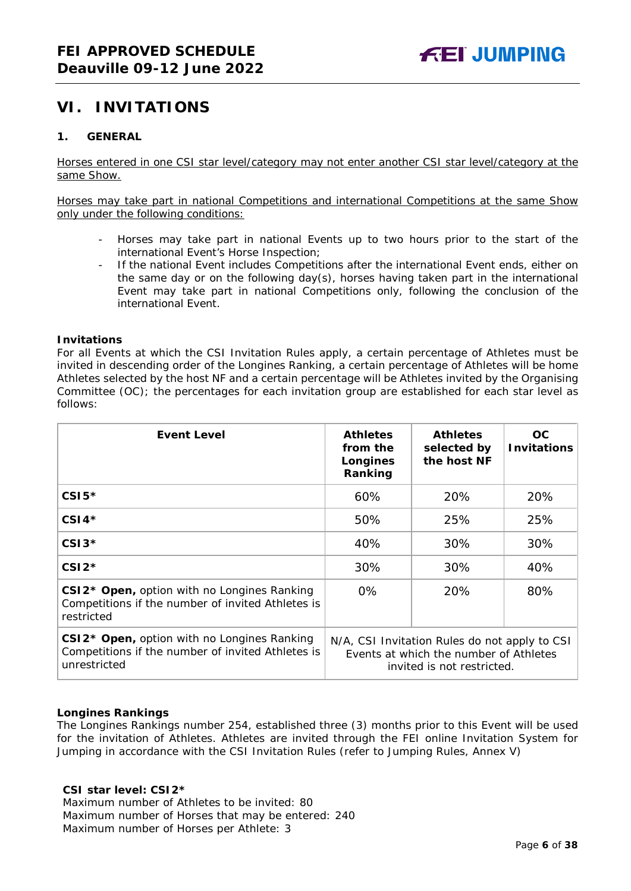# <span id="page-5-0"></span>**VI. INVITATIONS**

# <span id="page-5-1"></span>**1. GENERAL**

Horses entered in one CSI star level/category may not enter another CSI star level/category at the same Show.

Horses may take part in national Competitions and international Competitions at the same Show only under the following conditions:

- Horses may take part in national Events up to two hours prior to the start of the international Event's Horse Inspection;
- If the national Event includes Competitions after the international Event ends, either on the same day or on the following day(s), horses having taken part in the international Event may take part in national Competitions only, following the conclusion of the international Event.

#### **Invitations**

For all Events at which the CSI Invitation Rules apply, a certain percentage of Athletes must be invited in descending order of the Longines Ranking, a certain percentage of Athletes will be home Athletes selected by the host NF and a certain percentage will be Athletes invited by the Organising Committee (OC); the percentages for each invitation group are established for each star level as follows:

| <b>Event Level</b>                                                                                                           | <b>Athletes</b><br>from the<br>Longines<br>Ranking                                                                    | <b>Athletes</b><br>selected by<br>the host NF | OC.<br><b>Invitations</b> |
|------------------------------------------------------------------------------------------------------------------------------|-----------------------------------------------------------------------------------------------------------------------|-----------------------------------------------|---------------------------|
| $CSI5*$                                                                                                                      | 60%                                                                                                                   | 20%                                           | 20%                       |
| $CSI4*$                                                                                                                      | 50%                                                                                                                   | 25%                                           | 25%                       |
| $CSI3*$                                                                                                                      | 40%                                                                                                                   | 30%                                           | 30%                       |
| $CSI2*$                                                                                                                      | 30%                                                                                                                   | 30%                                           | 40%                       |
| CSI2* Open, option with no Longines Ranking<br>Competitions if the number of invited Athletes is<br>restricted               | $0\%$<br>20%                                                                                                          |                                               | 80%                       |
| CSI2 <sup>*</sup> Open, option with no Longines Ranking<br>Competitions if the number of invited Athletes is<br>unrestricted | N/A, CSI Invitation Rules do not apply to CSI<br>Events at which the number of Athletes<br>invited is not restricted. |                                               |                           |

### **Longines Rankings**

The Longines Rankings number 254, established three (3) months prior to this Event will be used for the invitation of Athletes. Athletes are invited through the FEI online Invitation System for Jumping in accordance with the CSI Invitation Rules (refer to Jumping Rules, Annex V)

### **CSI star level: CSI2\***

Maximum number of Athletes to be invited: 80 Maximum number of Horses that may be entered: 240 Maximum number of Horses per Athlete: 3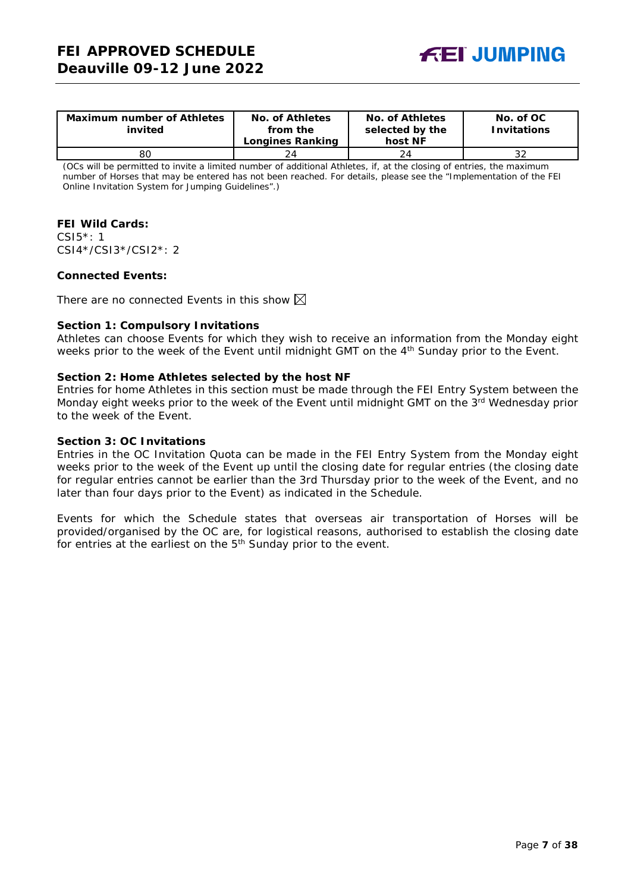

| <b>Maximum number of Athletes</b><br>invited | No. of Athletes<br>from the<br><b>Longines Ranking</b> | <b>No. of Athletes</b><br>selected by the<br>host NF | No. of OC<br><b>Invitations</b> |
|----------------------------------------------|--------------------------------------------------------|------------------------------------------------------|---------------------------------|
|                                              |                                                        |                                                      |                                 |
| 80                                           | 24                                                     | 24                                                   | 32                              |

(OCs will be permitted to invite a limited number of additional Athletes, if, at the closing of entries, the maximum number of Horses that may be entered has not been reached. For details, please see the "Implementation of the FEI Online Invitation System for Jumping Guidelines".)

#### **FEI Wild Cards:**

CSI5\*: 1 CSI4\*/CSI3\*/CSI2\*: 2

#### **Connected Events:**

There are no connected Events in this show  $\boxtimes$ 

#### **Section 1: Compulsory Invitations**

Athletes can choose Events for which they wish to receive an information from the Monday eight weeks prior to the week of the Event until midnight GMT on the 4<sup>th</sup> Sunday prior to the Event.

#### **Section 2: Home Athletes selected by the host NF**

Entries for home Athletes in this section must be made through the FEI Entry System between the Monday eight weeks prior to the week of the Event until midnight GMT on the 3rd Wednesday prior to the week of the Event.

#### **Section 3: OC Invitations**

Entries in the OC Invitation Quota can be made in the FEI Entry System from the Monday eight weeks prior to the week of the Event up until the closing date for regular entries (the closing date for regular entries cannot be earlier than the 3rd Thursday prior to the week of the Event, and no later than four days prior to the Event) as indicated in the Schedule.

Events for which the Schedule states that overseas air transportation of Horses will be provided/organised by the OC are, for logistical reasons, authorised to establish the closing date for entries at the earliest on the  $5<sup>th</sup>$  Sunday prior to the event.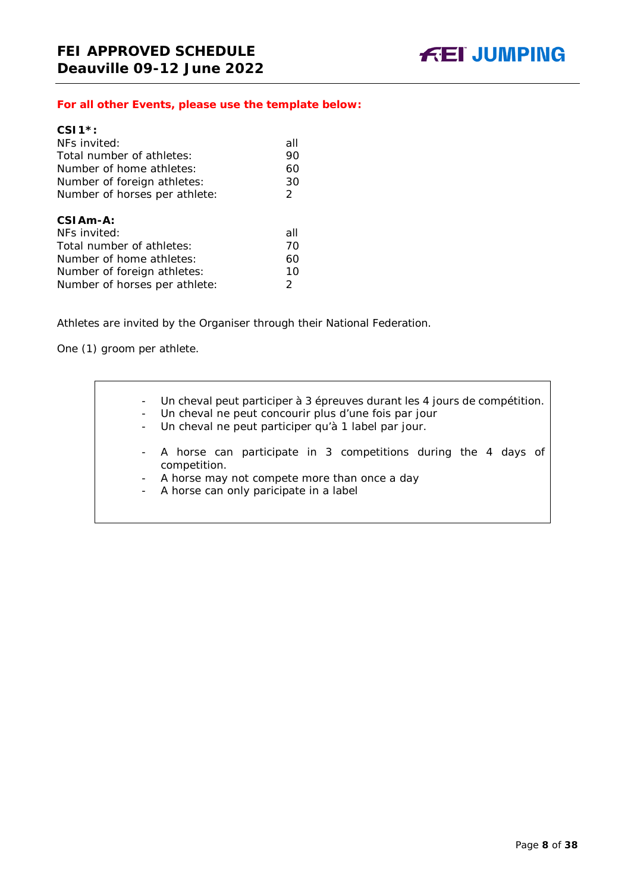## *For all other Events, please use the template below:*

| $CS11$ *:                     |     |
|-------------------------------|-----|
| NFs invited:                  | all |
| Total number of athletes:     | 90  |
| Number of home athletes:      | 60  |
| Number of foreign athletes:   | 30  |
| Number of horses per athlete: | 2   |
|                               |     |
| CSIAm-A:                      |     |
| NFs invited:                  | all |
| Total number of athletes:     | 70  |
| Number of home athletes:      | 60  |
| Number of foreign athletes:   | 10  |
|                               |     |
| Number of horses per athlete: | 2   |

Athletes are invited by the Organiser through their National Federation.

One (1) groom per athlete.

- Un cheval peut participer à 3 épreuves durant les 4 jours de compétition. - Un cheval ne peut concourir plus d'une fois par jour - Un cheval ne peut participer qu'à 1 label par jour. - A horse can participate in 3 competitions during the 4 days of competition. - A horse may not compete more than once a day - A horse can only paricipate in a label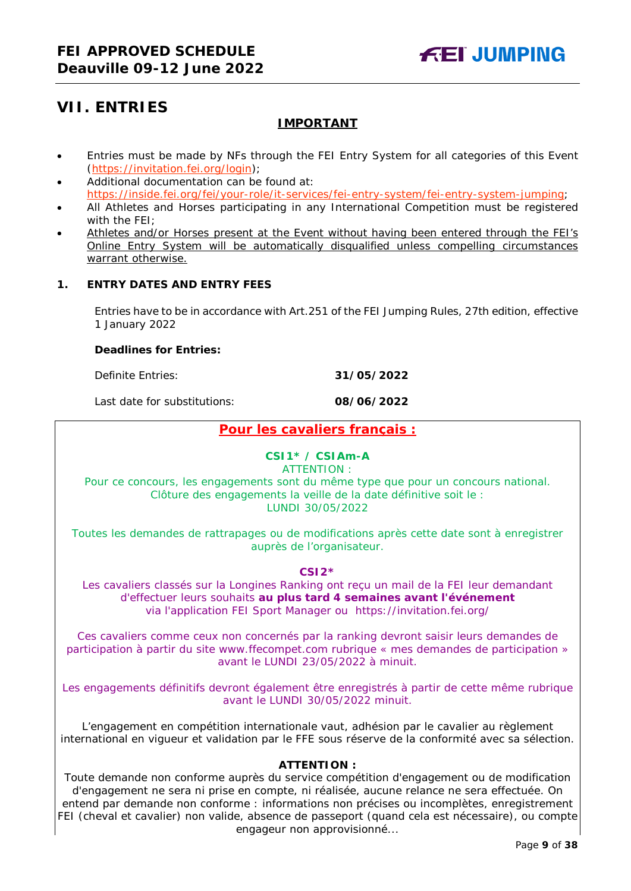# <span id="page-8-0"></span>**VII. ENTRIES**

# **IMPORTANT**

- Entries must be made by NFs through the FEI Entry System for all categories of this Event [\(https://invitation.fei.org/login\)](https://invitation.fei.org/login);
- Additional documentation can be found at: [https://inside.fei.org/fei/your-role/it-services/fei-entry-system/fei-entry-system-jumping;](https://inside.fei.org/fei/your-role/it-services/fei-entry-system/fei-entry-system-jumping)
- All Athletes and Horses participating in any International Competition must be registered with the FEI;
- Athletes and/or Horses present at the Event without having been entered through the FEI's Online Entry System will be automatically disqualified unless compelling circumstances warrant otherwise.

# <span id="page-8-1"></span>**1. ENTRY DATES AND ENTRY FEES**

Entries have to be in accordance with Art.251 of the FEI Jumping Rules, 27th edition, effective 1 January 2022

#### **Deadlines for Entries:**

Definite Entries: **31/05/2022**

Last date for substitutions: **08/06/2022**

# **Pour les cavaliers français :**

# **CSI1\* / CSIAm-A**

ATTENTION :

Pour ce concours, les engagements sont du même type que pour un concours national. Clôture des engagements la veille de la date définitive soit le : LUNDI 30/05/2022

Toutes les demandes de rattrapages ou de modifications après cette date sont à enregistrer auprès de l'organisateur.

#### **CSI2\***

Les cavaliers classés sur la Longines Ranking ont reçu un mail de la FEI leur demandant d'effectuer leurs souhaits **au plus tard 4 semaines avant l'événement**  via l'application FEI Sport Manager ou https://invitation.fei.org/

Ces cavaliers comme ceux non concernés par la ranking devront saisir leurs demandes de participation à partir du site www.ffecompet.com rubrique « mes demandes de participation » avant le LUNDI 23/05/2022 à minuit.

Les engagements définitifs devront également être enregistrés à partir de cette même rubrique avant le LUNDI 30/05/2022 minuit.

L'engagement en compétition internationale vaut, adhésion par le cavalier au règlement international en vigueur et validation par le FFE sous réserve de la conformité avec sa sélection.

#### **ATTENTION :**

Toute demande non conforme auprès du service compétition d'engagement ou de modification d'engagement ne sera ni prise en compte, ni réalisée, aucune relance ne sera effectuée. On entend par demande non conforme : informations non précises ou incomplètes, enregistrement FEI (cheval et cavalier) non valide, absence de passeport (quand cela est nécessaire), ou compte engageur non approvisionné...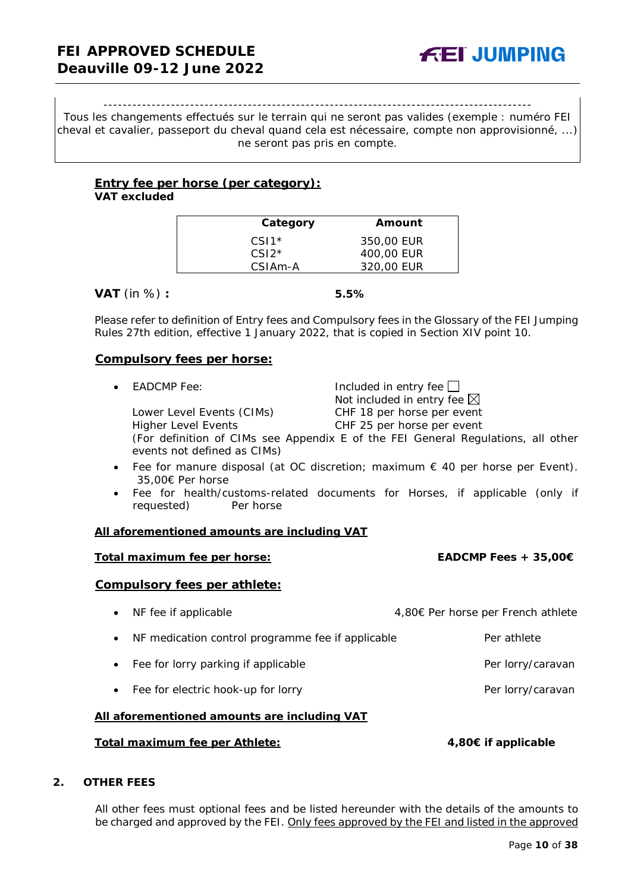#### -----------------------------------------------------------------------------------------

Tous les changements effectués sur le terrain qui ne seront pas valides (exemple : numéro FEI cheval et cavalier, passeport du cheval quand cela est nécessaire, compte non approvisionné, ...) ne seront pas pris en compte.

#### **Entry fee per horse** *(per category):* **VAT excluded**

| Category             | Amount     |
|----------------------|------------|
| $CS11*$              | 350.00 EUR |
| $CSI2*$              | 400,00 EUR |
| CSIA <sub>m</sub> -A | 320.00 EUR |
|                      |            |

**VAT** (in %) **: 5.5%**

Please refer to definition of Entry fees and Compulsory fees in the Glossary of the FEI Jumping Rules 27th edition, effective 1 January 2022, that is copied in Section XIV point 10.

### **Compulsory fees per horse:**

Lower Level Events (CIMs)

• EADCMP Fee: Included in entry fee Not included in entry fee  $\boxtimes$ <br>CHF 18 per horse per event Higher Level Events CHF 25 per horse per event

(For definition of CIMs see Appendix E of the FEI General Regulations, all other events not defined as CIMs)

- Fee for manure disposal (at OC discretion; maximum  $\epsilon$  40 per horse per Event). 35,00€ Per horse
- Fee for health/customs-related documents for Horses, if applicable (only if requested) Per horse

#### **All aforementioned amounts are including VAT**

#### **Total maximum fee per horse: EADCMP Fees + 35,00€**

#### **Compulsory fees per athlete:**

• NF fee if applicable 4,80€ Per horse per French athlete • NF medication control programme fee if applicable Per athlete • Fee for lorry parking if applicable **Per lorry/caravan** Per lorry/caravan • Fee for electric hook-up for lorry entitled and the extension of Per lorry/caravan **All aforementioned amounts are including VAT**

# **Total maximum fee per Athlete: 4,80€ if applicable**

### <span id="page-9-0"></span>**2. OTHER FEES**

All other fees must optional fees and be listed hereunder with the details of the amounts to be charged and approved by the FEI. Only fees approved by the FEI and listed in the approved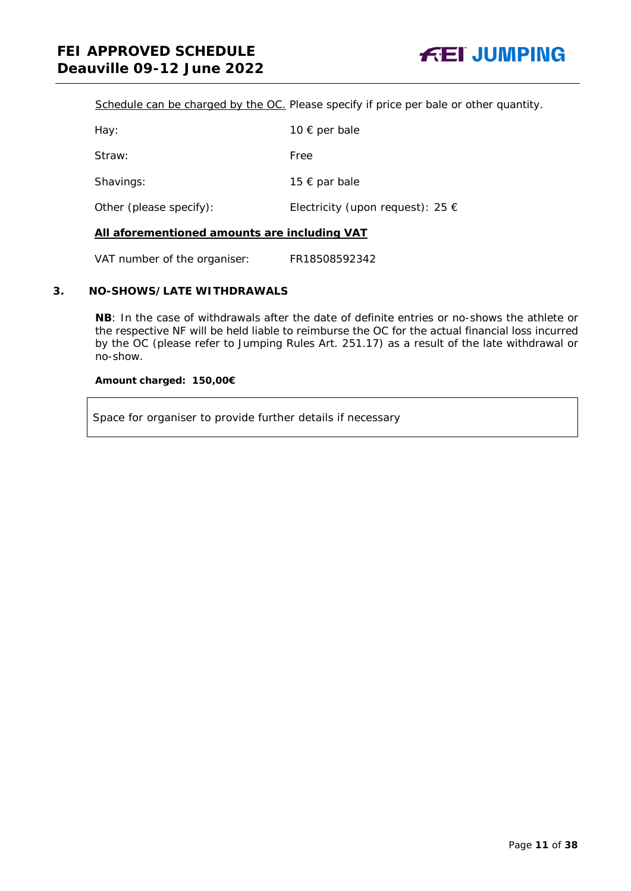Schedule can be charged by the OC. *Please specify if price per bale or other quantity.*

| 10 $\epsilon$ per bale                    |
|-------------------------------------------|
| Free                                      |
| 15 € par bale                             |
| Electricity (upon request): 25 $\epsilon$ |
|                                           |

### **All aforementioned amounts are including VAT**

VAT number of the organiser: FR18508592342

# <span id="page-10-0"></span>**3. NO-SHOWS/LATE WITHDRAWALS**

**NB**: In the case of withdrawals after the date of definite entries or no-shows the athlete or the respective NF will be held liable to reimburse the OC for the actual financial loss incurred by the OC (please refer to Jumping Rules Art. 251.17) as a result of the late withdrawal or no-show.

#### **Amount charged: 150,00€**

Space for organiser to provide further details if necessary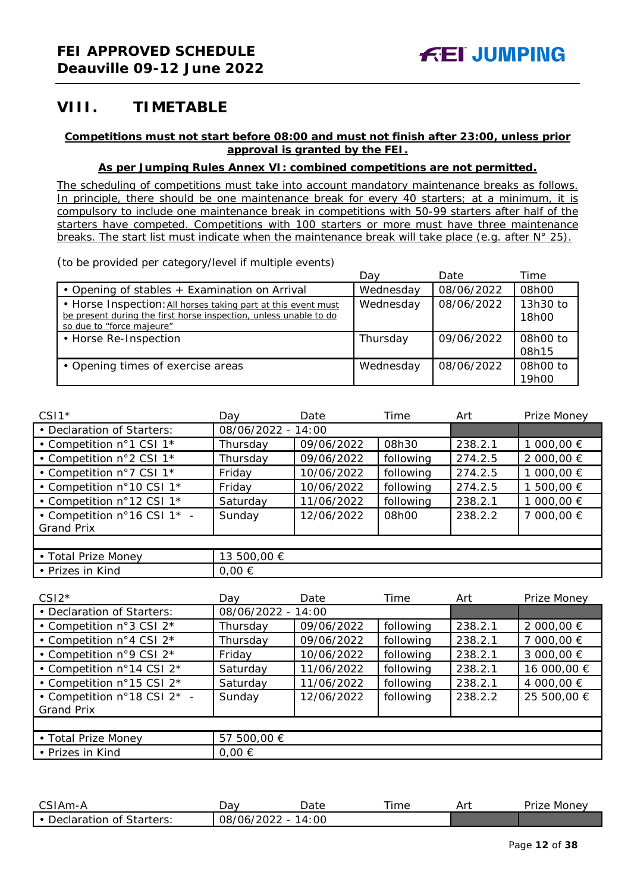# <span id="page-11-0"></span>**VIII. TIMETABLE**

# **Competitions must not start before 08:00 and must not finish after 23:00, unless prior approval is granted by the FEI.**

# **As per Jumping Rules Annex VI: combined competitions are not permitted.**

*The scheduling of competitions must take into account mandatory maintenance breaks as follows. In principle, there should be one maintenance break for every 40 starters; at a minimum, it is compulsory to include one maintenance break in competitions with 50-99 starters after half of the starters have competed. Competitions with 100 starters or more must have three maintenance breaks. The start list must indicate when the maintenance break will take place (e.g. after N° 25).*

*(to be provided per category/level if multiple events)*

|                                                                                                                                                                 | Dav       | Date       | Time              |
|-----------------------------------------------------------------------------------------------------------------------------------------------------------------|-----------|------------|-------------------|
| • Opening of stables + Examination on Arrival                                                                                                                   | Wednesday | 08/06/2022 | 08h00             |
| • Horse Inspection: All horses taking part at this event must<br>be present during the first horse inspection, unless unable to do<br>so due to "force majeure" | Wednesday | 08/06/2022 | 13h30 to<br>18h00 |
| • Horse Re-Inspection                                                                                                                                           | Thursday  | 09/06/2022 | 08h00 to<br>08h15 |
| • Opening times of exercise areas                                                                                                                               | Wednesday | 08/06/2022 | 08h00 to<br>19h00 |

| $CSI1*$                     | Dav                | Date       | Time      | Art     | Prize Money |
|-----------------------------|--------------------|------------|-----------|---------|-------------|
| • Declaration of Starters:  | 08/06/2022 - 14:00 |            |           |         |             |
| • Competition n°1 CSI 1*    | Thursday           | 09/06/2022 | 08h30     | 238.2.1 | 1 000,00 €  |
| • Competition n°2 CSI 1*    | Thursday           | 09/06/2022 | following | 274.2.5 | 2 000,00 €  |
| • Competition n°7 CSI 1*    | Friday             | 10/06/2022 | following | 274.2.5 | 1 000,00 €  |
| • Competition n°10 CSI 1*   | Friday             | 10/06/2022 | following | 274.2.5 | 500,00 €    |
| • Competition n°12 CSI 1*   | Saturday           | 11/06/2022 | following | 238.2.1 | 1 000,00 €  |
| • Competition n°16 CSI 1* - | Sunday             | 12/06/2022 | 08h00     | 238.2.2 | 7 000,00 €  |
| <b>Grand Prix</b>           |                    |            |           |         |             |
|                             |                    |            |           |         |             |
| • Total Prize Money         | 13 500,00 €        |            |           |         |             |
| • Prizes in Kind            | $0,00 \in$         |            |           |         |             |

| $CSI2*$                     | Dav                | Date       | Time      | Art     | Prize Money |
|-----------------------------|--------------------|------------|-----------|---------|-------------|
| • Declaration of Starters:  | 08/06/2022 - 14:00 |            |           |         |             |
| • Competition n°3 CSI 2*    | Thursday           | 09/06/2022 | following | 238.2.1 | 2 000,00 €  |
| • Competition n°4 CSI 2*    | Thursday           | 09/06/2022 | following | 238.2.1 | 7 000,00 €  |
| • Competition n°9 CSI 2*    | Friday             | 10/06/2022 | following | 238.2.1 | 3 000,00 €  |
| • Competition n°14 CSI 2*   | Saturday           | 11/06/2022 | following | 238.2.1 | 16 000,00 € |
| • Competition n°15 CSI 2*   | Saturday           | 11/06/2022 | following | 238.2.1 | 4 000,00 €  |
| • Competition n°18 CSI 2* - | Sunday             | 12/06/2022 | following | 238.2.2 | 25 500,00 € |
| <b>Grand Prix</b>           |                    |            |           |         |             |
|                             |                    |            |           |         |             |
| • Total Prize Money         | 57 500,00 €        |            |           |         |             |
| • Prizes in Kind            | $0,00 \in$         |            |           |         |             |

| $\sim$ $\sim$<br>—^-MAm-                   | יבו<br>Jav              | Date            | --<br>ime | Ar' | Monev<br>Uri -<br>۱۱۷ - |
|--------------------------------------------|-------------------------|-----------------|-----------|-----|-------------------------|
| -<br>Starters:<br><b>Declaration</b><br>0t | 12022<br>08/06/<br>ZUZZ | OO<br>$\Lambda$ |           |     |                         |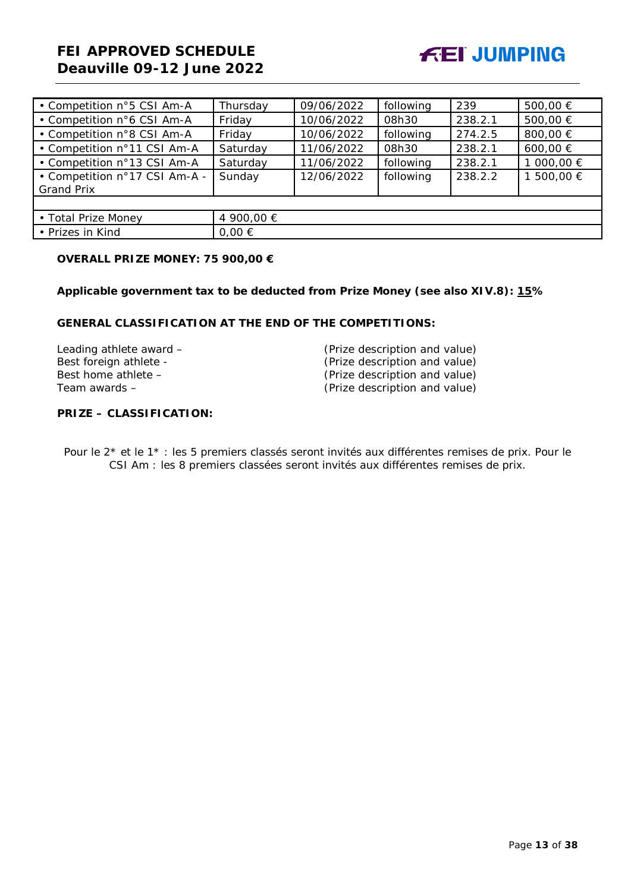# **FEI APPROVED SCHEDULE Deauville 09-12 June 2022**



| • Competition n°5 CSI Am-A                         | Thursday   | 09/06/2022 | following | 239     | 500,00 €   |
|----------------------------------------------------|------------|------------|-----------|---------|------------|
| • Competition n°6 CSI Am-A                         | Friday     | 10/06/2022 | 08h30     | 238.2.1 | 500,00 €   |
| • Competition n°8 CSI Am-A                         | Friday     | 10/06/2022 | following | 274.2.5 | 800,00 €   |
| • Competition n°11 CSI Am-A                        | Saturday   | 11/06/2022 | 08h30     | 238.2.1 | 600,00 €   |
| • Competition n°13 CSI Am-A                        | Saturday   | 11/06/2022 | following | 238.2.1 | 1 000,00 € |
| • Competition n°17 CSI Am-A -<br><b>Grand Prix</b> | Sunday     | 12/06/2022 | following | 238.2.2 | 1 500,00 € |
|                                                    |            |            |           |         |            |
| • Total Prize Money                                | 4 900,00 € |            |           |         |            |
| • Prizes in Kind                                   | $0,00 \in$ |            |           |         |            |

### **OVERALL PRIZE MONEY: 75 900,00 €**

**Applicable government tax to be deducted from Prize Money (see also XIV.8): 15%**

# **GENERAL CLASSIFICATION AT THE END OF THE COMPETITIONS:**

| (Prize description and value) |
|-------------------------------|
| (Prize description and value) |
| (Prize description and value) |
| (Prize description and value) |
|                               |

# **PRIZE – CLASSIFICATION:**

Pour le 2\* et le 1\* : les 5 premiers classés seront invités aux différentes remises de prix. Pour le CSI Am : les 8 premiers classées seront invités aux différentes remises de prix.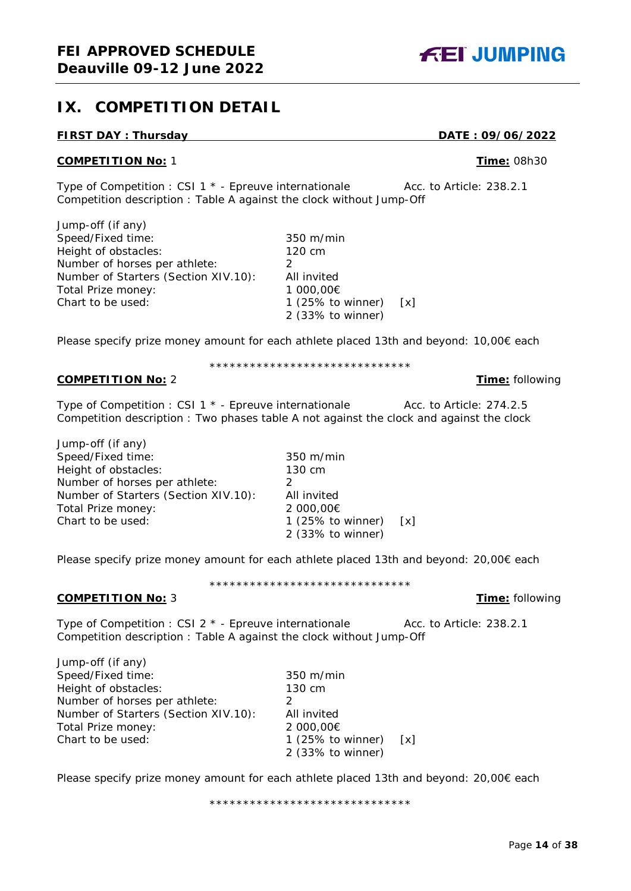# <span id="page-13-0"></span>**IX. COMPETITION DETAIL**

# **FIRST DAY : Thursday DATE : 09/06/2022**

#### **COMPETITION No:** 1 **Time:** 08h30

Type of Competition : CSI 1 \* - Epreuve internationale Acc. to Article: 238.2.1 Competition description : Table A against the clock without Jump-Off

 $350 \text{ m/min}$ <br> $120 \text{ cm}$ 

All invited 1 000,00€

1 (25% to winner)  $[x]$ 2 (33% to winner)

| Jump-off (if any)                    |           |
|--------------------------------------|-----------|
| Speed/Fixed time:                    | 350 m/    |
| Height of obstacles:                 | 120 cm    |
| Number of horses per athlete:        |           |
| Number of Starters (Section XIV.10): | All invit |
| Total Prize money:                   | 1000, C   |
| Chart to be used:                    | 1 (25%    |
|                                      |           |

Please specify prize money amount for each athlete placed 13th and beyond: 10,00€ each

# \*\*\*\*\*\*\*\*\*\*\*\*\*\*\*\*\*\*\*\*\*\*\*\*\*\*\*\*\*\*

**COMPETITION No:** 2 **Time:** following

Type of Competition : CSI 1  $*$  - Epreuve internationale  $\qquad \qquad$  Acc. to Article: 274.2.5 Competition description : Two phases table A not against the clock and against the clock

Jump-off (if any) Speed/Fixed time: 350 m/min<br>
Height of obstacles: 350 m/min Height of obstacles: 130 cm Number of horses per athlete:  $2$ Number of Starters (Section XIV.10): All invited Total Prize money: 2 000,00€ Chart to be used: 1 (25% to winner) [x]

Please specify prize money amount for each athlete placed 13th and beyond: 20,00€ each

#### \*\*\*\*\*\*\*\*\*\*\*\*\*\*\*\*\*\*\*\*\*\*\*\*\*\*\*\*\*\*

2 (33% to winner)

## **COMPETITION No:** 3 **Time:** following

Type of Competition : CSI 2 \* - Epreuve internationale Acc. to Article: 238.2.1 Competition description : Table A against the clock without Jump-Off

Jump-off (if any) Speed/Fixed time: 350 m/min Height of obstacles: 130 cm Number of horses per athlete: 2 Number of Starters (Section XIV.10): All invited Total Prize money: 2 000,00€ Chart to be used: 1 (25% to winner) [x]

Please specify prize money amount for each athlete placed 13th and beyond: 20,00€ each

\*\*\*\*\*\*\*\*\*\*\*\*\*\*\*\*\*\*\*\*\*\*\*\*\*\*\*\*\*\*

2 (33% to winner)

Page **14** of **38**

**FEI JUMPING**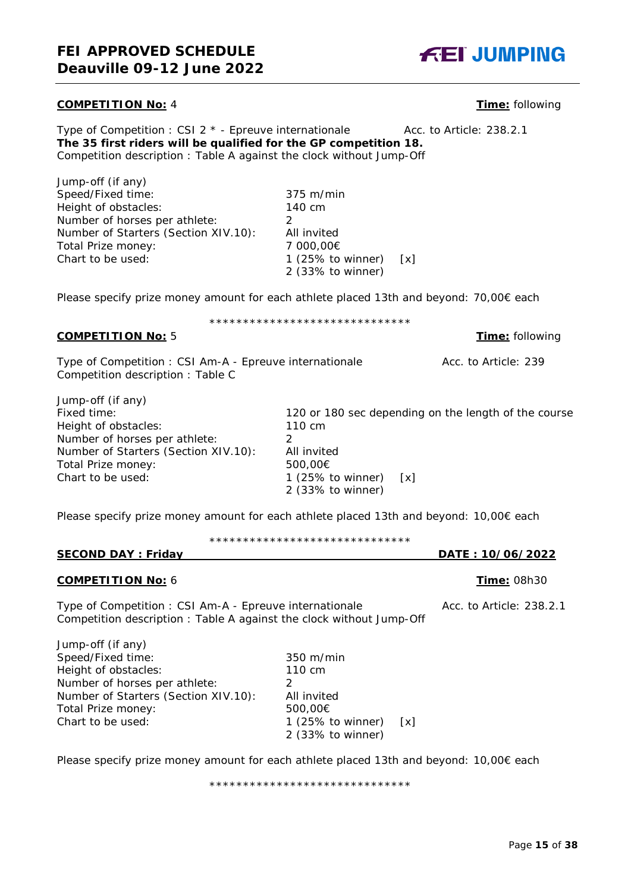#### **COMPETITION No:** 4 **Time:** following

Type of Competition : CSI 2 \* - Epreuve internationale Acc. to Article: 238.2.1 **The 35 first riders will be qualified for the GP competition 18.** Competition description : Table A against the clock without Jump-Off

Jump-off (if any) Speed/Fixed time: 375 m/min Height of obstacles: 140 cm Number of horses per athlete: 2 Number of Starters (Section XIV.10): All invited Total Prize money: 7 000,00€ Chart to be used: 1 (25% to winner) [x]

Please specify prize money amount for each athlete placed 13th and beyond: 70,00€ each

\*\*\*\*\*\*\*\*\*\*\*\*\*\*\*\*\*\*\*\*\*\*\*\*\*\*\*\*\*\*

2 (33% to winner)

### **COMPETITION No:** 5 **Time:** following

Type of Competition : CSI Am-A - Epreuve internationale Acc. to Article: 239 Competition description : Table C

Jump-off (if any) Fixed time:<br>  $\frac{120 \text{ or } 180 \text{ sec}}{110 \text{ cm}}$  or  $\frac{120 \text{ cm}}{110 \text{ cm}}$  on the length of the course Height of obstacles: Number of horses per athlete: 2 Number of Starters (Section XIV.10): All invited Total Prize money: 500,00€ Chart to be used:  $1 (25\% \text{ to winner})$  [x] 2 (33% to winner)

Please specify prize money amount for each athlete placed 13th and beyond: 10,00€ each

| ****************************** |  |  |  |  |  |  |  |  |  |  |  |  |  |  |
|--------------------------------|--|--|--|--|--|--|--|--|--|--|--|--|--|--|
|                                |  |  |  |  |  |  |  |  |  |  |  |  |  |  |

# **COMPETITION No:** 6 **Time:** 08h30

Type of Competition : CSI Am-A - Epreuve internationale Acc. to Article: 238.2.1 Competition description : Table A against the clock without Jump-Off

Jump-off (if any) Speed/Fixed time: 350 m/min Height of obstacles: 110 cm Number of horses per athlete: 2 Number of Starters (Section XIV.10): All invited<br>Total Prize money: 500.00€ Total Prize money: Chart to be used: 1 (25% to winner) [x]

Please specify prize money amount for each athlete placed 13th and beyond: 10,00€ each

\*\*\*\*\*\*\*\*\*\*\*\*\*\*\*\*\*\*\*\*\*\*\*\*\*\*\*\*\*\*

2 (33% to winner)

**SECOND DAY : Friday DATE : 10/06/2022**

**FEI JUMPING**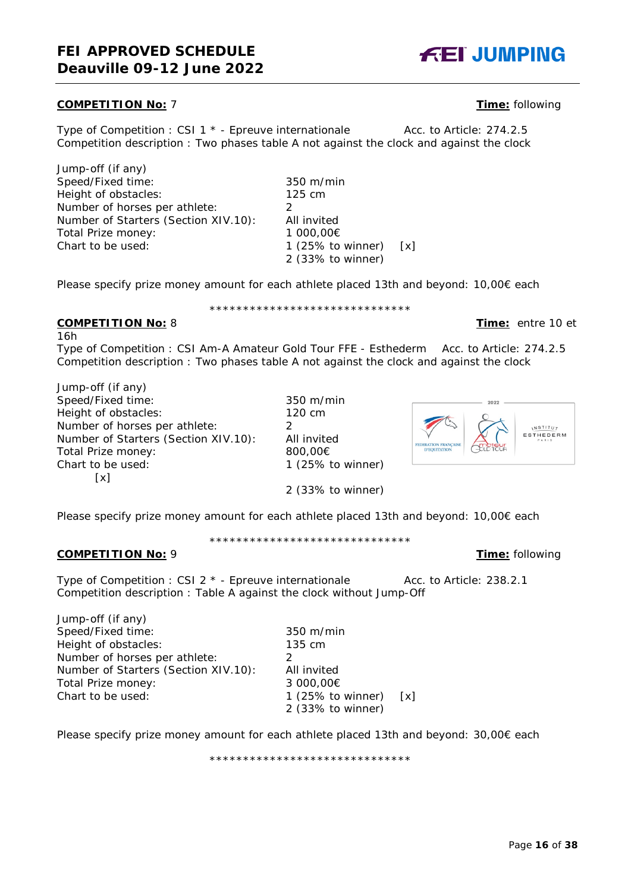# **COMPETITION No:** 7 **Time:** following

Type of Competition : CSI 1 \* - Epreuve internationale Acc. to Article: 274.2.5 Competition description : Two phases table A not against the clock and against the clock

Jump-off (if any) Speed/Fixed time: 350 m/min Height of obstacles: 125 cm Number of horses per athlete: 2<br>Number of Starters (Section XIV.10): All invited Number of Starters (Section XIV.10): All invited<br>Total Prize money: 1 000,00€ Total Prize money: Chart to be used: 1 (25% to winner) [x]

Please specify prize money amount for each athlete placed 13th and beyond: 10,00€ each

#### \*\*\*\*\*\*\*\*\*\*\*\*\*\*\*\*\*\*\*\*\*\*\*\*\*\*\*\*\*\* **COMPETITION No:** 8 **Time:** entre 10 et

16h Type of Competition : CSI Am-A Amateur Gold Tour FFE - Esthederm Acc. to Article: 274.2.5 Competition description : Two phases table A not against the clock and against the clock

Jump-off (if any) Speed/Fixed time: 350 m/min Height of obstacles: 120 cm Number of horses per athlete: 2 Number of Starters (Section XIV.10): All invited Total Prize money: 800,00€ Chart to be used: 1 (25% to winner)  $\lceil x \rceil$ 

Please specify prize money amount for each athlete placed 13th and beyond: 10,00€ each

\*\*\*\*\*\*\*\*\*\*\*\*\*\*\*\*\*\*\*\*\*\*\*\*\*\*\*\*\*\*

2 (33% to winner)

#### **COMPETITION No:** 9 **Time:** following

Type of Competition : CSI 2 \* - Epreuve internationale Acc. to Article: 238.2.1 Competition description : Table A against the clock without Jump-Off

Jump-off (if any) Speed/Fixed time: 350 m/min Height of obstacles: 135 cm Number of horses per athlete: 2 Number of Starters (Section XIV.10): All invited Total Prize money: 3 000,00€ Chart to be used: 1 (25% to winner) [x]

Please specify prize money amount for each athlete placed 13th and beyond: 30,00€ each

\*\*\*\*\*\*\*\*\*\*\*\*\*\*\*\*\*\*\*\*\*\*\*\*\*\*\*\*\*\*

2 (33% to winner)

# 2022 **NSTITUT** ESTHEDERM





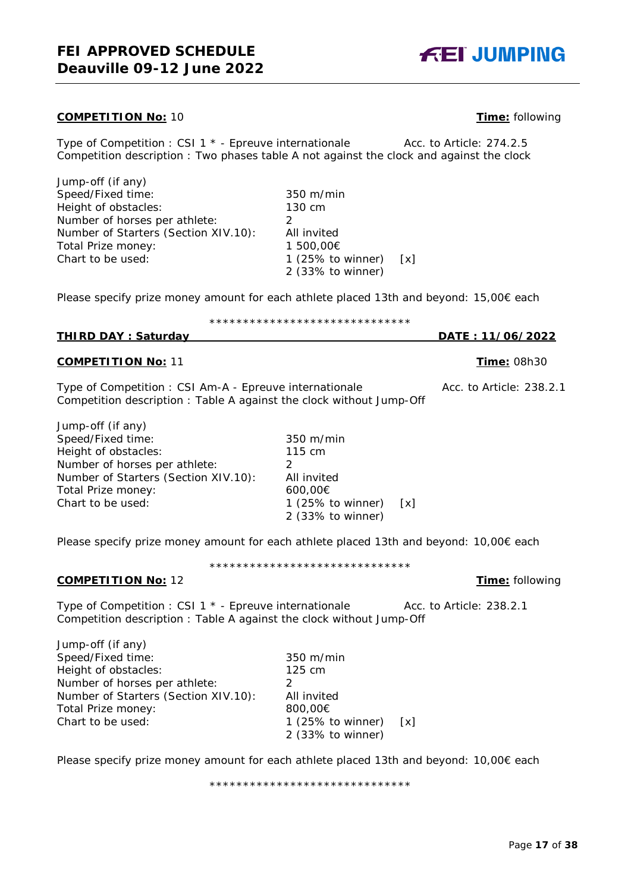#### **COMPETITION No:** 10 **Time:** following

Type of Competition : CSI 1 \* - Epreuve internationale Acc. to Article: 274.2.5 Competition description : Two phases table A not against the clock and against the clock

Jump-off (if any) Speed/Fixed time: 350 m/min Height of obstacles: 130 cm Number of horses per athlete: 2 Number of Starters (Section XIV.10): All invited Total Prize money: 1 500,00€ Chart to be used: 1 (25% to winner) [x]

Please specify prize money amount for each athlete placed 13th and beyond: 15,00€ each

# \*\*\*\*\*\*\*\*\*\*\*\*\*\*\*\*\*\*\*\*\*\*\*\*\*\*\*\*\*\*

2 (33% to winner)

# **THIRD DAY : Saturday DATE : 11/06/2022**

# **COMPETITION No:** 11 **Time:** 08h30

Type of Competition : CSI Am-A - Epreuve internationale Acc. to Article: 238.2.1 Competition description : Table A against the clock without Jump-Off

Jump-off (if any) Speed/Fixed time: 350 m/min Height of obstacles: 115 cm Number of horses per athlete: 2 Number of Starters (Section XIV.10): All invited Total Prize money: 600,00€<br>Chart to be used: 1 (25%

Please specify prize money amount for each athlete placed 13th and beyond: 10,00€ each

1 (25% to winner)  $[x]$ 2 (33% to winner)

\*\*\*\*\*\*\*\*\*\*\*\*\*\*\*\*\*\*\*\*\*\*\*\*\*\*\*\*\*\*

# **COMPETITION No:** 12 **Time:** following

Type of Competition : CSI 1 \* - Epreuve internationale Acc. to Article: 238.2.1 Competition description : Table A against the clock without Jump-Off

Jump-off (if any) Speed/Fixed time: 350 m/min Height of obstacles: 125 cm Number of horses per athlete: 2 Number of Starters (Section XIV.10): All invited Total Prize money: 800,00€ Chart to be used: 1 (25% to winner) [x]

Please specify prize money amount for each athlete placed 13th and beyond: 10,00€ each

\*\*\*\*\*\*\*\*\*\*\*\*\*\*\*\*\*\*\*\*\*\*\*\*\*\*\*\*\*\*

2 (33% to winner)

**FEI JUMPING** 

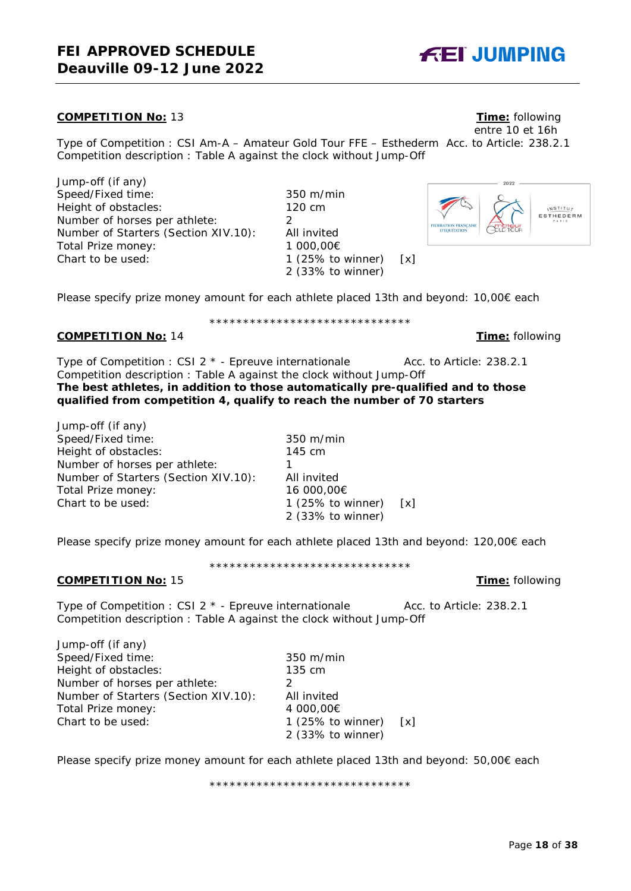# **FEI APPROVED SCHEDULE Deauville 09-12 June 2022**

# **COMPETITION No:** 13 **Time:** following

Type of Competition : CSI Am-A – Amateur Gold Tour FFE – Esthederm Acc. to Article: 238.2.1 Competition description : Table A against the clock without Jump-Off

Jump-off (if any) Speed/Fixed time: 350 m/min Height of obstacles: 120 cm Number of horses per athlete: 2 Number of Starters (Section XIV.10): All invited Total Prize money: 1 000,00€ Chart to be used: 1 (25% to winner) [x]

Please specify prize money amount for each athlete placed 13th and beyond: 10,00€ each

\*\*\*\*\*\*\*\*\*\*\*\*\*\*\*\*\*\*\*\*\*\*\*\*\*\*\*\*\*\*

2 (33% to winner)

# **COMPETITION No:** 14 **Time:** following

Type of Competition : CSI 2 \* - Epreuve internationale Acc. to Article: 238.2.1 Competition description : Table A against the clock without Jump-Off **The best athletes, in addition to those automatically pre-qualified and to those qualified from competition 4, qualify to reach the number of 70 starters**

Jump-off (if any) Speed/Fixed time: 350 m/min Height of obstacles: 145 cm Number of horses per athlete: 1 Number of Starters (Section XIV.10): All invited Total Prize money: 16 000,00€<br>Chart to be used: 1 (25% to v

Please specify prize money amount for each athlete placed 13th and beyond: 120,00€ each

\*\*\*\*\*\*\*\*\*\*\*\*\*\*\*\*\*\*\*\*\*\*\*\*\*\*\*\*\*\*

## **COMPETITION No:** 15 **Time:** following

Type of Competition : CSI 2  $*$  - Epreuve internationale  $\sqrt{2}$  Acc. to Article: 238.2.1 Competition description : Table A against the clock without Jump-Off

Jump-off (if any) Speed/Fixed time: 350 m/min Height of obstacles: 135 cm Number of horses per athlete: 2 Number of Starters (Section XIV.10): All invited Total Prize money: 4 000,00€ Chart to be used: 1 (25% to winner) [x]

Please specify prize money amount for each athlete placed 13th and beyond: 50,00€ each

\*\*\*\*\*\*\*\*\*\*\*\*\*\*\*\*\*\*\*\*\*\*\*\*\*\*\*\*\*\*

**NSTITUT** ESTHEDERM



entre 10 et 16h



1 (25% to winner)  $[x]$ 2 (33% to winner)

2 (33% to winner)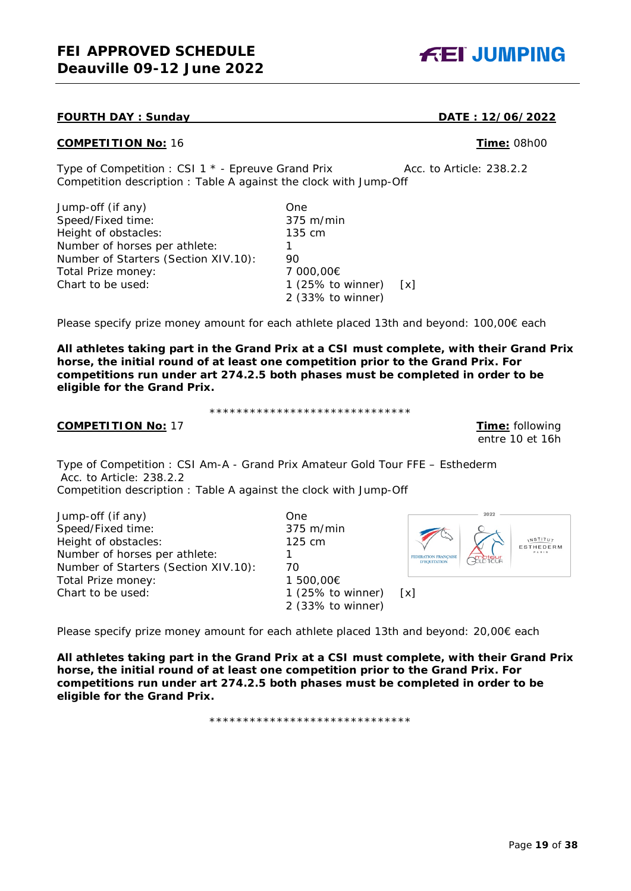# **FOURTH DAY : Sunday DATE : 12/06/2022**

# **COMPETITION No:** 16 **Time:** 08h00

Type of Competition : CSI 1 \* - Epreuve Grand Prix Acc. to Article: 238.2.2 Competition description : Table A against the clock with Jump-Off

| Jump-off (if any)                    | One                     |  |
|--------------------------------------|-------------------------|--|
| Speed/Fixed time:                    | 375 m/min               |  |
| Height of obstacles:                 | 135 cm                  |  |
| Number of horses per athlete:        |                         |  |
| Number of Starters (Section XIV.10): | 90                      |  |
| Total Prize money:                   | 7 000,00€               |  |
| Chart to be used:                    | 1 (25% to winner) $[x]$ |  |
|                                      | 2 (33% to winner)       |  |

Please specify prize money amount for each athlete placed 13th and beyond: 100,00€ each

**All athletes taking part in the Grand Prix at a CSI must complete, with their Grand Prix horse, the initial round of at least one competition prior to the Grand Prix. For competitions run under art 274.2.5 both phases must be completed in order to be eligible for the Grand Prix.**

\*\*\*\*\*\*\*\*\*\*\*\*\*\*\*\*\*\*\*\*\*\*\*\*\*\*\*\*\*\*

# **COMPETITION No:** 17 **Time:** following

entre 10 et 16h

**INSTITUT** 

Type of Competition : CSI Am-A - Grand Prix Amateur Gold Tour FFE – Esthederm Acc. to Article: 238.2.2

Competition description : Table A against the clock with Jump-Off

Jump-off (if any) One Speed/Fixed time: 375 m/min Height of obstacles: 125 cm Number of horses per athlete: 1 Number of Starters (Section XIV.10): 70 Total Prize money: 1 500,00€<br>Chart to be used: 1 1 25% to

Please specify prize money amount for each athlete placed 13th and beyond: 20,00€ each

**All athletes taking part in the Grand Prix at a CSI must complete, with their Grand Prix horse, the initial round of at least one competition prior to the Grand Prix. For competitions run under art 274.2.5 both phases must be completed in order to be eligible for the Grand Prix.**

1 (25% to winner)  $[x]$ 2 (33% to winner)

\*\*\*\*\*\*\*\*\*\*\*\*\*\*\*\*\*\*\*\*\*\*\*\*\*\*\*\*\*\*

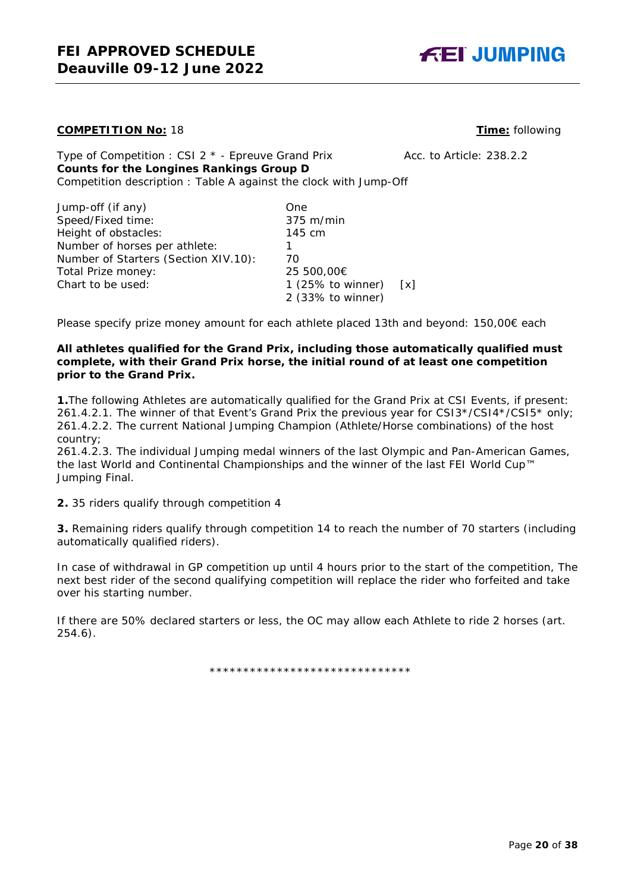

### **COMPETITION No:** 18 **Time:** following

Type of Competition : CSI  $2 *$  - Epreuve Grand Prix Acc. to Article: 238.2.2 **Counts for the Longines Rankings Group D** Competition description : Table A against the clock with Jump-Off

| Jump-off (if any)                    | One.                 |     |
|--------------------------------------|----------------------|-----|
| Speed/Fixed time:                    | $375$ m/min          |     |
| Height of obstacles:                 | 145 cm               |     |
| Number of horses per athlete:        |                      |     |
| Number of Starters (Section XIV.10): | 70                   |     |
| Total Prize money:                   | 25 500,00€           |     |
| Chart to be used:                    | 1 $(25\%$ to winner) | [x] |
|                                      | 2 (33% to winner)    |     |

Please specify prize money amount for each athlete placed 13th and beyond: 150,00€ each

### **All athletes qualified for the Grand Prix, including those automatically qualified must complete, with their Grand Prix horse, the initial round of at least one competition prior to the Grand Prix.**

**1.**The following Athletes are automatically qualified for the Grand Prix at CSI Events, if present: 261.4.2.1. The winner of that Event's Grand Prix the previous year for CSI3\*/CSI4\*/CSI5\* only; 261.4.2.2. The current National Jumping Champion (Athlete/Horse combinations) of the host country;

261.4.2.3. The individual Jumping medal winners of the last Olympic and Pan-American Games, the last World and Continental Championships and the winner of the last FEI World Cup™ Jumping Final.

**2.** 35 riders qualify through competition 4

**3.** Remaining riders qualify through competition 14 to reach the number of 70 starters (including automatically qualified riders).

In case of withdrawal in GP competition up until 4 hours prior to the start of the competition, The next best rider of the second qualifying competition will replace the rider who forfeited and take over his starting number.

If there are 50% declared starters or less, the OC may allow each Athlete to ride 2 horses (art. 254.6).

\*\*\*\*\*\*\*\*\*\*\*\*\*\*\*\*\*\*\*\*\*\*\*\*\*\*\*\*\*\*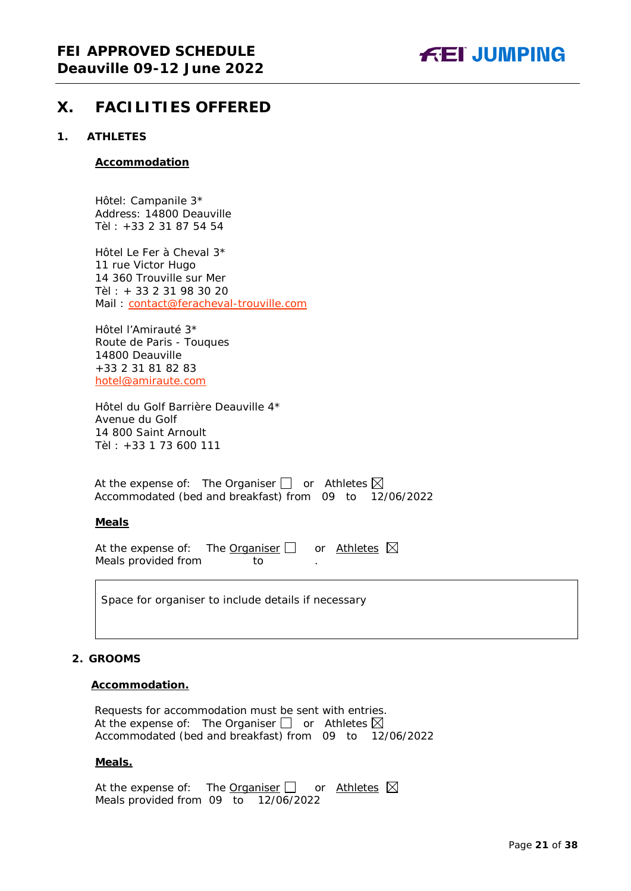

# <span id="page-20-0"></span>**X. FACILITIES OFFERED**

#### <span id="page-20-1"></span>**1. ATHLETES**

#### **Accommodation**

Hôtel: Campanile 3\* Address: 14800 Deauville Tèl : +33 2 31 87 54 54

Hôtel Le Fer à Cheval 3\* 11 rue Victor Hugo 14 360 Trouville sur Mer Tèl : + 33 2 31 98 30 20 Mail: [contact@feracheval-trouville.com](mailto:contact@feracheval-trouville.com)

Hôtel l'Amirauté 3\* Route de Paris - Touques 14800 Deauville +33 2 31 81 82 83 [hotel@amiraute.com](mailto:hotel@amiraute.com)

Hôtel du Golf Barrière Deauville 4\* Avenue du Golf 14 800 Saint Arnoult Tèl : +33 1 73 600 111

At the expense of: The Organiser  $\Box$  or Athletes  $\boxtimes$ Accommodated (bed and breakfast) from 09 to 12/06/2022

### **Meals**

At the expense of: The Organiser  $\Box$  or Athletes  $\boxtimes$ Meals provided from to

Space for organiser to include details if necessary

### <span id="page-20-2"></span>**2. GROOMS**

#### **Accommodation.**

Requests for accommodation must be sent with entries. At the expense of: The Organiser  $\Box$  or Athletes  $\boxtimes$ Accommodated (bed and breakfast) from 09 to 12/06/2022

#### **Meals.**

At the expense of: The Organiser  $\Box$  or Athletes  $\boxtimes$ Meals provided from 09 to 12/06/2022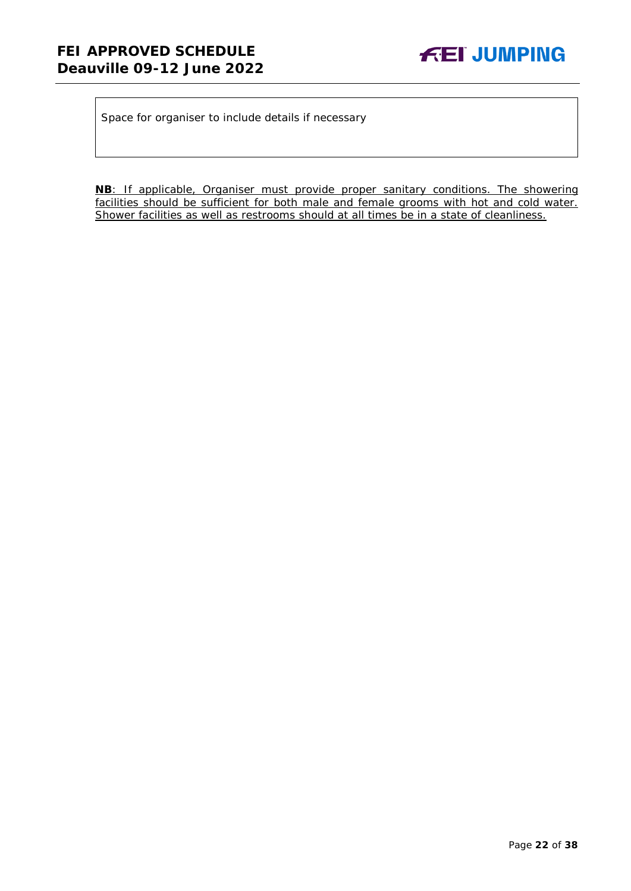Space for organiser to include details if necessary

**NB**: If applicable, Organiser must provide proper sanitary conditions. The showering facilities should be sufficient for both male and female grooms with hot and cold water. Shower facilities as well as restrooms should at all times be in a state of cleanliness.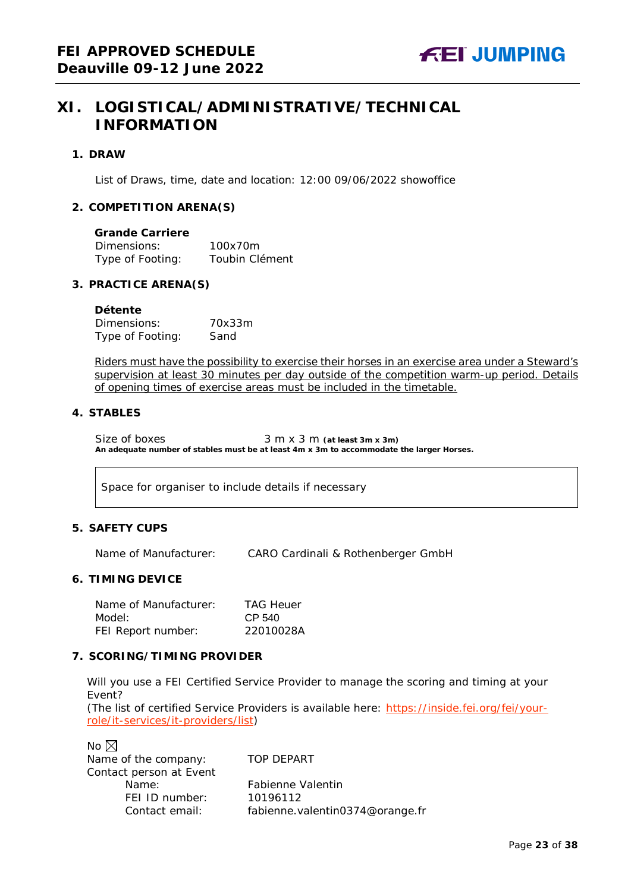# <span id="page-22-0"></span>**XI. LOGISTICAL/ADMINISTRATIVE/TECHNICAL INFORMATION**

#### <span id="page-22-1"></span>**1. DRAW**

List of Draws, time, date and location: 12:00 09/06/2022 showoffice

#### <span id="page-22-2"></span>**2. COMPETITION ARENA(S)**

| <b>Grande Carriere</b> |                |
|------------------------|----------------|
| Dimensions:            | 100x70m        |
| Type of Footing:       | Toubin Clément |

#### <span id="page-22-3"></span>**3. PRACTICE ARENA(S)**

#### **Détente**

| Dimensions:      | 70x33m |
|------------------|--------|
| Type of Footing: | Sand   |

Riders must have the possibility to exercise their horses in an exercise area under a Steward's supervision at least 30 minutes per day outside of the competition warm-up period. Details of opening times of exercise areas must be included in the timetable.

#### <span id="page-22-4"></span>**4. STABLES**

Size of boxes 3 m x 3 m (at least 3m x 3m) **An adequate number of stables must be at least 4m x 3m to accommodate the larger Horses.**

Space for organiser to include details if necessary

### <span id="page-22-5"></span>**5. SAFETY CUPS**

Name of Manufacturer: CARO Cardinali & Rothenberger GmbH

#### <span id="page-22-6"></span>**6. TIMING DEVICE**

Name of Manufacturer: TAG Heuer Model: CP 540 FEI Report number: 22010028A

### <span id="page-22-7"></span>**7. SCORING/TIMING PROVIDER**

Will you use a FEI Certified Service Provider to manage the scoring and timing at your Event?

*(The list of certified Service Providers is available here:* [https://inside.fei.org/fei/your](https://inside.fei.org/fei/your-role/it-services/it-providers/list)[role/it-services/it-providers/list](https://inside.fei.org/fei/your-role/it-services/it-providers/list)*)*

No  $\boxtimes$ Name of the company: TOP DEPART Contact person at Event FEI ID number: 10196112

Name: Fabienne Valentin Contact email: fabienne.valentin0374@orange.fr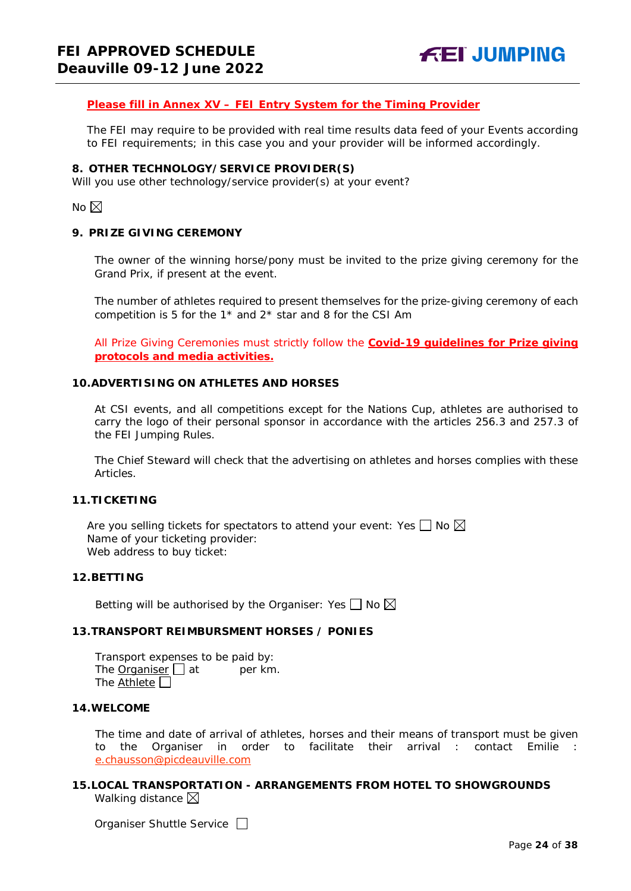#### *Please fill in Annex XV – FEI Entry System for the Timing Provider*

The FEI may require to be provided with real time results data feed of your Events according to FEI requirements; in this case you and your provider will be informed accordingly.

#### <span id="page-23-0"></span>**8. OTHER TECHNOLOGY/SERVICE PROVIDER(S)**

Will you use other technology/service provider(s) at your event?

No  $\boxtimes$ 

#### <span id="page-23-1"></span>**9. PRIZE GIVING CEREMONY**

The owner of the winning horse/pony must be invited to the prize giving ceremony for the Grand Prix, if present at the event.

The number of athletes required to present themselves for the prize-giving ceremony of each competition is 5 for the  $1*$  and  $2*$  star and 8 for the CSI Am

All Prize Giving Ceremonies must strictly follow the **Covid-19 guidelines for Prize giving protocols and media activities.**

#### <span id="page-23-2"></span>**10.ADVERTISING ON ATHLETES AND HORSES**

At CSI events, and all competitions except for the Nations Cup, athletes are authorised to carry the logo of their personal sponsor in accordance with the articles 256.3 and 257.3 of the FEI Jumping Rules.

The Chief Steward will check that the advertising on athletes and horses complies with these Articles.

#### <span id="page-23-3"></span>**11.TICKETING**

Are you selling tickets for spectators to attend your event: Yes  $\Box$  No  $\boxtimes$ Name of your ticketing provider: Web address to buy ticket:

#### <span id="page-23-4"></span>**12.BETTING**

Betting will be authorised by the Organiser: Yes  $\Box$  No  $\boxtimes$ 

## <span id="page-23-5"></span>**13.TRANSPORT REIMBURSMENT HORSES / PONIES**

Transport expenses to be paid by: The **Organiser**  $\Box$  at per km. The Athlete  $\square$ 

#### <span id="page-23-6"></span>**14.WELCOME**

The time and date of arrival of athletes, horses and their means of transport must be given to the Organiser in order to facilitate their arrival : contact Emilie [e.chausson@picdeauville.com](mailto:e.chausson@picdeauville.com)

# <span id="page-23-7"></span>**15.LOCAL TRANSPORTATION - ARRANGEMENTS FROM HOTEL TO SHOWGROUNDS** Walking distance  $\boxtimes$

Organiser Shuttle Service  $\Box$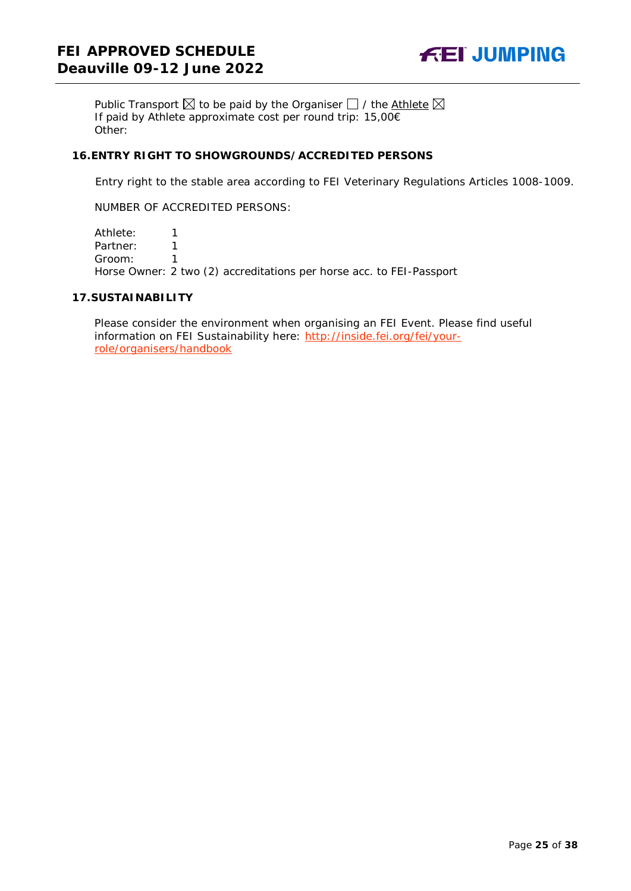

Public Transport  $\boxtimes$  to be paid by the Organiser  $\Box$  / the Athlete  $\boxtimes$ If paid by Athlete approximate cost per round trip: 15,00€ Other:

#### <span id="page-24-0"></span>**16.ENTRY RIGHT TO SHOWGROUNDS/ACCREDITED PERSONS**

Entry right to the stable area according to FEI Veterinary Regulations Articles 1008-1009.

NUMBER OF ACCREDITED PERSONS:

Athlete: 1 Partner: 1 Groom: 1 Horse Owner: 2 two (2) accreditations per horse acc. to FEI-Passport

#### <span id="page-24-1"></span>**17.SUSTAINABILITY**

Please consider the environment when organising an FEI Event. Please find useful information on FEI Sustainability here: [http://inside.fei.org/fei/your](http://inside.fei.org/fei/your-role/organisers/handbook)[role/organisers/handbook](http://inside.fei.org/fei/your-role/organisers/handbook)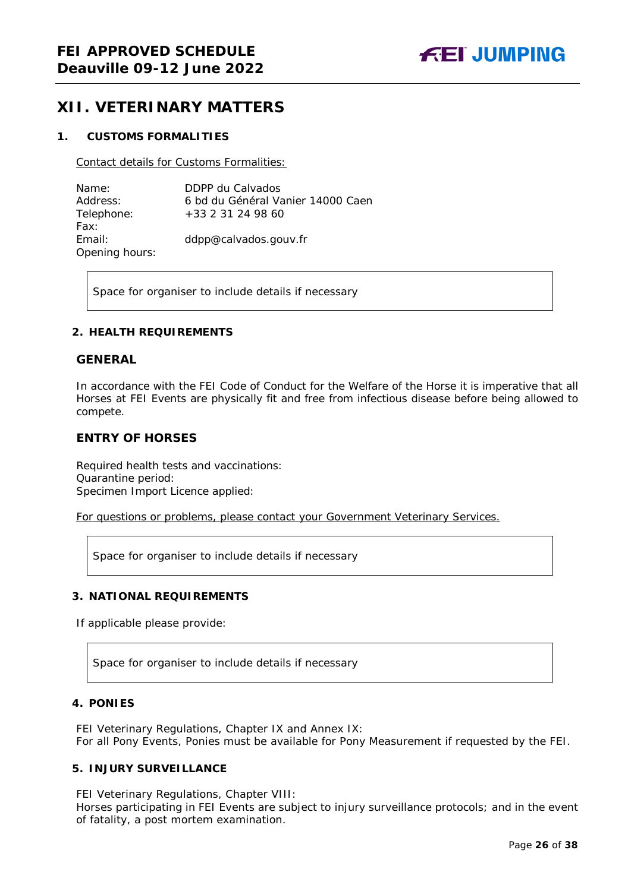# <span id="page-25-0"></span>**XII. VETERINARY MATTERS**

### <span id="page-25-1"></span>**1. CUSTOMS FORMALITIES**

Contact details for Customs Formalities:

| Name:          | DDPP du Calvados                  |
|----------------|-----------------------------------|
| Address:       | 6 bd du Général Vanier 14000 Caen |
| Telephone:     | +33 2 31 24 98 60                 |
| Fax:           |                                   |
| Email:         | ddpp@calvados.gouv.fr             |
| Opening hours: |                                   |

Space for organiser to include details if necessary

#### <span id="page-25-2"></span>**2. HEALTH REQUIREMENTS**

#### **GENERAL**

In accordance with the FEI Code of Conduct for the Welfare of the Horse it is imperative that all Horses at FEI Events are physically fit and free from infectious disease before being allowed to compete.

## **ENTRY OF HORSES**

Required health tests and vaccinations: Quarantine period: Specimen Import Licence applied:

For questions or problems, please contact your Government Veterinary Services.

Space for organiser to include details if necessary

### <span id="page-25-3"></span>**3. NATIONAL REQUIREMENTS**

If applicable please provide:

Space for organiser to include details if necessary

## <span id="page-25-4"></span>**4. PONIES**

FEI Veterinary Regulations, Chapter IX and Annex IX: For all Pony Events, Ponies must be available for Pony Measurement if requested by the FEI.

#### <span id="page-25-5"></span>**5. INJURY SURVEILLANCE**

FEI Veterinary Regulations, Chapter VIII:

Horses participating in FEI Events are subject to injury surveillance protocols; and in the event of fatality, a post mortem examination.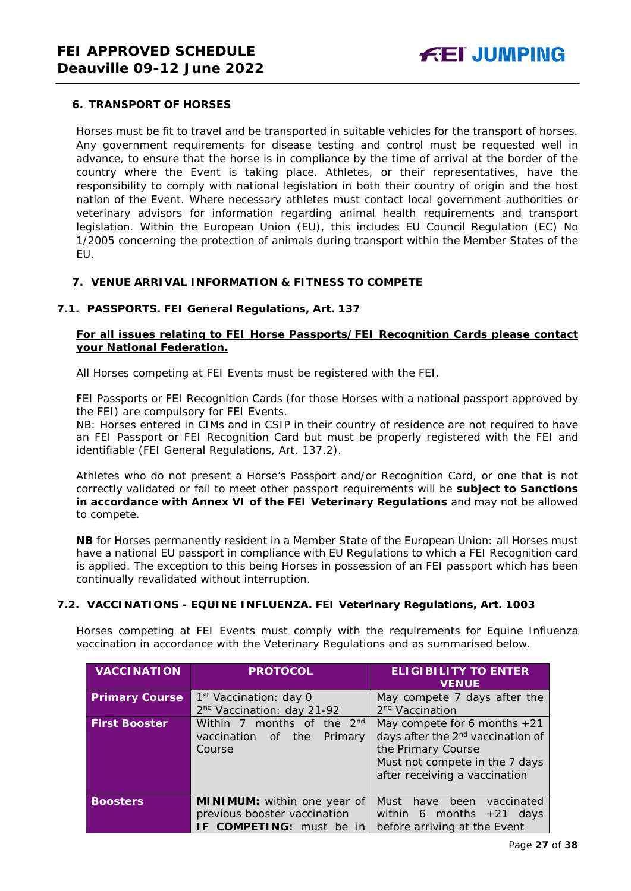## <span id="page-26-0"></span>**6. TRANSPORT OF HORSES**

Horses must be fit to travel and be transported in suitable vehicles for the transport of horses. Any government requirements for disease testing and control must be requested well in advance, to ensure that the horse is in compliance by the time of arrival at the border of the country where the Event is taking place. Athletes, or their representatives, have the responsibility to comply with national legislation in both their country of origin and the host nation of the Event. Where necessary athletes must contact local government authorities or veterinary advisors for information regarding animal health requirements and transport legislation. Within the European Union (EU), this includes EU Council Regulation (EC) No 1/2005 concerning the protection of animals during transport within the Member States of the EU.

### <span id="page-26-1"></span>**7. VENUE ARRIVAL INFORMATION & FITNESS TO COMPETE**

### **7.1. PASSPORTS. FEI General Regulations, Art. 137**

## **For all issues relating to FEI Horse Passports/FEI Recognition Cards please contact your National Federation.**

All Horses competing at FEI Events must be registered with the FEI.

FEI Passports or FEI Recognition Cards (for those Horses with a national passport approved by the FEI) are compulsory for FEI Events.

NB: Horses entered in CIMs and in CSIP in their country of residence are not required to have an FEI Passport or FEI Recognition Card but must be properly registered with the FEI and identifiable (FEI General Regulations, Art. 137.2).

Athletes who do not present a Horse's Passport and/or Recognition Card, or one that is not correctly validated or fail to meet other passport requirements will be **subject to Sanctions in accordance with Annex VI of the FEI Veterinary Regulations** and may not be allowed to compete.

**NB** for Horses permanently resident in a Member State of the European Union: all Horses must have a national EU passport in compliance with EU Regulations to which a FEI Recognition card is applied. The exception to this being Horses in possession of an FEI passport which has been continually revalidated without interruption.

### **7.2. VACCINATIONS - EQUINE INFLUENZA. FEI Veterinary Regulations, Art. 1003**

Horses competing at FEI Events must comply with the requirements for Equine Influenza vaccination in accordance with the Veterinary Regulations and as summarised below.

| <b>VACCINATION</b>    | <b>PROTOCOL</b>                        | <b>ELIGIBILITY TO ENTER</b><br><b>VENUE</b>   |
|-----------------------|----------------------------------------|-----------------------------------------------|
| <b>Primary Course</b> | 1 <sup>st</sup> Vaccination: day 0     | May compete 7 days after the                  |
|                       | 2 <sup>nd</sup> Vaccination: day 21-92 | 2 <sup>nd</sup> Vaccination                   |
| <b>First Booster</b>  | Within 7 months of the 2nd             | May compete for 6 months $+21$                |
|                       | vaccination<br>the<br>Primary<br>of    | days after the 2 <sup>nd</sup> vaccination of |
|                       | Course                                 | the Primary Course                            |
|                       |                                        | Must not compete in the 7 days                |
|                       |                                        | after receiving a vaccination                 |
|                       |                                        |                                               |
| <b>Boosters</b>       | MINIMUM: within one year of            | Must<br>been<br>have<br>vaccinated            |
|                       | previous booster vaccination           | within 6 months $+21$ days                    |
|                       | IF COMPETING: must be in               | before arriving at the Event                  |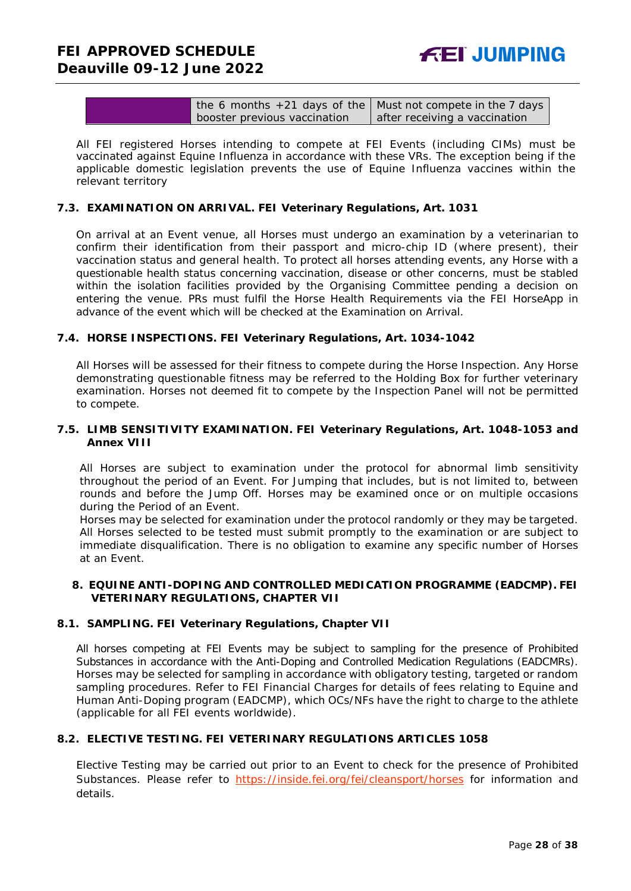| the 6 months $+21$ days of the   Must not compete in the 7 days |                               |
|-----------------------------------------------------------------|-------------------------------|
| booster previous vaccination                                    | after receiving a vaccination |

All FEI registered Horses intending to compete at FEI Events (including CIMs) must be vaccinated against Equine Influenza in accordance with these VRs. The exception being if the applicable domestic legislation prevents the use of Equine Influenza vaccines within the relevant territory

#### **7.3. EXAMINATION ON ARRIVAL. FEI Veterinary Regulations, Art. 1031**

On arrival at an Event venue, all Horses must undergo an examination by a veterinarian to confirm their identification from their passport and micro-chip ID (where present), their vaccination status and general health. To protect all horses attending events, any Horse with a questionable health status concerning vaccination, disease or other concerns, must be stabled within the isolation facilities provided by the Organising Committee pending a decision on entering the venue. PRs must fulfil the Horse Health Requirements via the FEI HorseApp in advance of the event which will be checked at the Examination on Arrival.

#### **7.4. HORSE INSPECTIONS. FEI Veterinary Regulations, Art. 1034-1042**

All Horses will be assessed for their fitness to compete during the Horse Inspection. Any Horse demonstrating questionable fitness may be referred to the Holding Box for further veterinary examination. Horses not deemed fit to compete by the Inspection Panel will not be permitted to compete.

#### **7.5. LIMB SENSITIVITY EXAMINATION. FEI Veterinary Regulations, Art. 1048-1053 and Annex VIII**

All Horses are subject to examination under the protocol for abnormal limb sensitivity throughout the period of an Event. For Jumping that includes, but is not limited to, between rounds and before the Jump Off. Horses may be examined once or on multiple occasions during the Period of an Event.

Horses may be selected for examination under the protocol randomly or they may be targeted. All Horses selected to be tested must submit promptly to the examination or are subject to immediate disqualification. There is no obligation to examine any specific number of Horses at an Event.

#### <span id="page-27-0"></span>**8. EQUINE ANTI-DOPING AND CONTROLLED MEDICATION PROGRAMME (EADCMP). FEI VETERINARY REGULATIONS, CHAPTER VII**

#### **8.1. SAMPLING. FEI Veterinary Regulations, Chapter VII**

All horses competing at FEI Events may be subject to sampling for the presence of Prohibited Substances in accordance with the Anti-Doping and Controlled Medication Regulations (EADCMRs). Horses may be selected for sampling in accordance with obligatory testing, targeted or random sampling procedures. Refer to FEI Financial Charges for details of fees relating to Equine and Human Anti-Doping program (EADCMP), which OCs/NFs have the right to charge to the athlete (applicable for all FEI events worldwide).

# **8.2. ELECTIVE TESTING. FEI VETERINARY REGULATIONS ARTICLES 1058**

Elective Testing may be carried out prior to an Event to check for the presence of Prohibited Substances. Please refer to <https://inside.fei.org/fei/cleansport/horses> for information and details.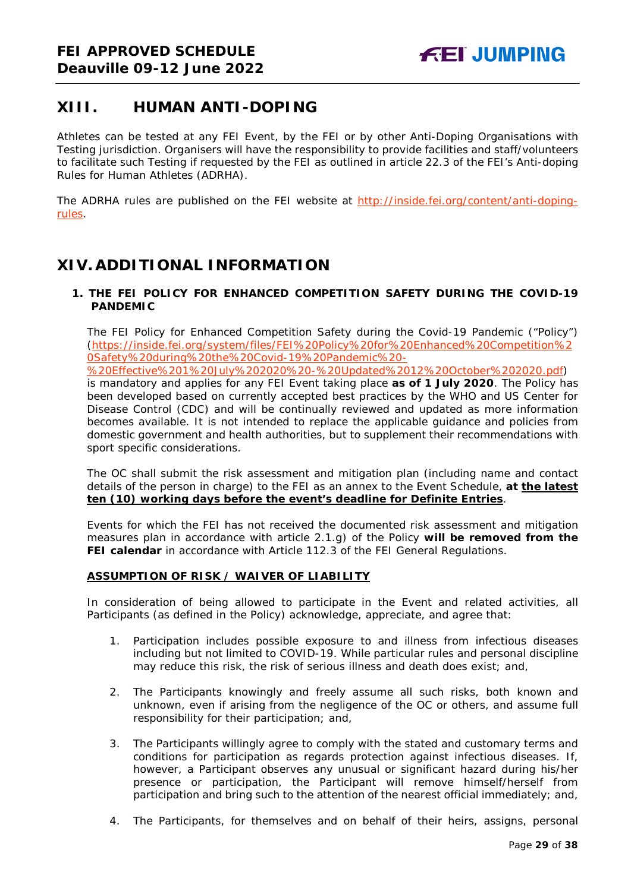# <span id="page-28-0"></span>**XIII. HUMAN ANTI-DOPING**

Athletes can be tested at any FEI Event, by the FEI or by other Anti-Doping Organisations with Testing jurisdiction. Organisers will have the responsibility to provide facilities and staff/volunteers to facilitate such Testing if requested by the FEI as outlined in article 22.3 of the FEI's Anti-doping Rules for Human Athletes (ADRHA).

The ADRHA rules are published on the FEI website at [http://inside.fei.org/content/anti-doping](http://inside.fei.org/content/anti-doping-rules)[rules.](http://inside.fei.org/content/anti-doping-rules)

# <span id="page-28-1"></span>**XIV. ADDITIONAL INFORMATION**

## <span id="page-28-2"></span>**1. THE FEI POLICY FOR ENHANCED COMPETITION SAFETY DURING THE COVID-19 PANDEMIC**

The FEI Policy for Enhanced Competition Safety during the Covid-19 Pandemic ("Policy") (https://inside.fei.org/system/files/FEI%20Policy%20for%20Enhanced%20Competition%2 0Safety%20during%20the%20Covid-19%20Pandemic%20-

%20Effective%201%20July%202020%20-%20Updated%2012%20October%202020.pdf) is mandatory and applies for any FEI Event taking place **as of 1 July 2020**. The Policy has been developed based on currently accepted best practices by the WHO and US Center for Disease Control (CDC) and will be continually reviewed and updated as more information becomes available. It is not intended to replace the applicable guidance and policies from domestic government and health authorities, but to supplement their recommendations with sport specific considerations.

The OC shall submit the risk assessment and mitigation plan (including name and contact details of the person in charge) to the FEI as an annex to the Event Schedule, **at the latest ten (10) working days before the event's deadline for Definite Entries**.

Events for which the FEI has not received the documented risk assessment and mitigation measures plan in accordance with article 2.1.g) of the Policy **will be removed from the FEI calendar** in accordance with Article 112.3 of the FEI General Regulations.

### **ASSUMPTION OF RISK / WAIVER OF LIABILITY**

In consideration of being allowed to participate in the Event and related activities, all Participants (as defined in the Policy) acknowledge, appreciate, and agree that:

- 1. Participation includes possible exposure to and illness from infectious diseases including but not limited to COVID-19. While particular rules and personal discipline may reduce this risk, the risk of serious illness and death does exist; and,
- 2. The Participants knowingly and freely assume all such risks, both known and unknown, even if arising from the negligence of the OC or others, and assume full responsibility for their participation; and,
- 3. The Participants willingly agree to comply with the stated and customary terms and conditions for participation as regards protection against infectious diseases. If, however, a Participant observes any unusual or significant hazard during his/her presence or participation, the Participant will remove himself/herself from participation and bring such to the attention of the nearest official immediately; and,
- 4. The Participants, for themselves and on behalf of their heirs, assigns, personal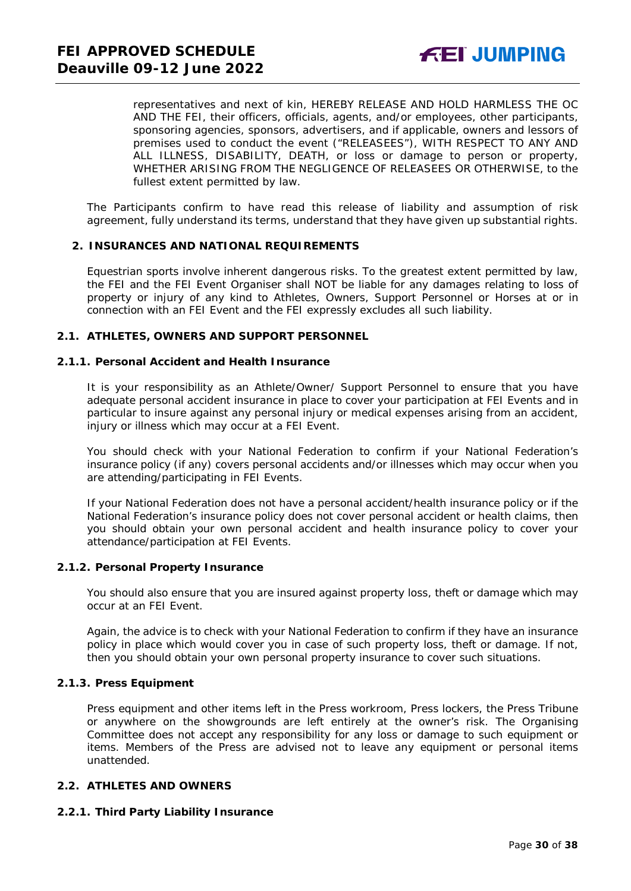representatives and next of kin, HEREBY RELEASE AND HOLD HARMLESS THE OC AND THE FEI, their officers, officials, agents, and/or employees, other participants, sponsoring agencies, sponsors, advertisers, and if applicable, owners and lessors of premises used to conduct the event ("RELEASEES"), WITH RESPECT TO ANY AND ALL ILLNESS, DISABILITY, DEATH, or loss or damage to person or property, WHETHER ARISING FROM THE NEGLIGENCE OF RELEASEES OR OTHERWISE, to the fullest extent permitted by law.

The Participants confirm to have read this release of liability and assumption of risk agreement, fully understand its terms, understand that they have given up substantial rights.

#### <span id="page-29-0"></span>**2. INSURANCES AND NATIONAL REQUIREMENTS**

Equestrian sports involve inherent dangerous risks. To the greatest extent permitted by law, the FEI and the FEI Event Organiser shall NOT be liable for any damages relating to loss of property or injury of any kind to Athletes, Owners, Support Personnel or Horses at or in connection with an FEI Event and the FEI expressly excludes all such liability.

#### **2.1. ATHLETES, OWNERS AND SUPPORT PERSONNEL**

#### **2.1.1. Personal Accident and Health Insurance**

It is your responsibility as an Athlete/Owner/ Support Personnel to ensure that you have adequate personal accident insurance in place to cover your participation at FEI Events and in particular to insure against any personal injury or medical expenses arising from an accident, injury or illness which may occur at a FEI Event.

You should check with your National Federation to confirm if your National Federation's insurance policy (if any) covers personal accidents and/or illnesses which may occur when you are attending/participating in FEI Events.

If your National Federation does not have a personal accident/health insurance policy or if the National Federation's insurance policy does not cover personal accident or health claims, then you should obtain your own personal accident and health insurance policy to cover your attendance/participation at FEI Events.

#### **2.1.2. Personal Property Insurance**

You should also ensure that you are insured against property loss, theft or damage which may occur at an FEI Event.

Again, the advice is to check with your National Federation to confirm if they have an insurance policy in place which would cover you in case of such property loss, theft or damage. If not, then you should obtain your own personal property insurance to cover such situations.

#### **2.1.3. Press Equipment**

Press equipment and other items left in the Press workroom, Press lockers, the Press Tribune or anywhere on the showgrounds are left entirely at the owner's risk. The Organising Committee does not accept any responsibility for any loss or damage to such equipment or items. Members of the Press are advised not to leave any equipment or personal items unattended.

#### **2.2. ATHLETES AND OWNERS**

#### **2.2.1. Third Party Liability Insurance**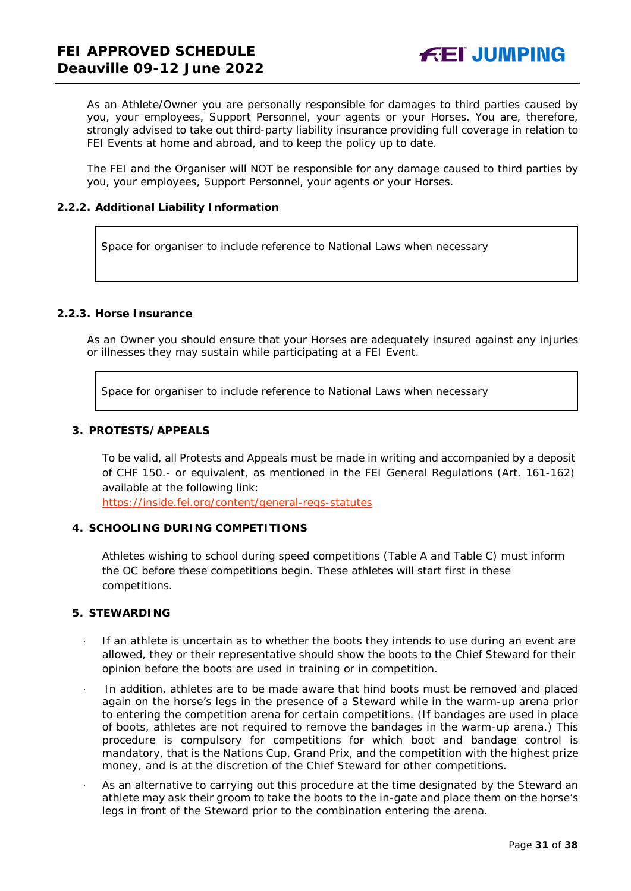As an Athlete/Owner you are personally responsible for damages to third parties caused by you, your employees, Support Personnel, your agents or your Horses. You are, therefore, strongly advised to take out third-party liability insurance providing full coverage in relation to FEI Events at home and abroad, and to keep the policy up to date.

The FEI and the Organiser will NOT be responsible for any damage caused to third parties by you, your employees, Support Personnel, your agents or your Horses.

#### **2.2.2. Additional Liability Information**

Space for organiser to include reference to National Laws when necessary

# **2.2.3. Horse Insurance**

As an Owner you should ensure that your Horses are adequately insured against any injuries or illnesses they may sustain while participating at a FEI Event.

Space for organiser to include reference to National Laws when necessary

#### <span id="page-30-0"></span>**3. PROTESTS/APPEALS**

To be valid, all Protests and Appeals must be made in writing and accompanied by a deposit of CHF 150.- or equivalent, as mentioned in the FEI General Regulations (Art. 161-162) available at the following link:

<https://inside.fei.org/content/general-regs-statutes>

### <span id="page-30-1"></span>**4. SCHOOLING DURING COMPETITIONS**

Athletes wishing to school during speed competitions (Table A and Table C) must inform the OC before these competitions begin. These athletes will start first in these competitions.

#### <span id="page-30-2"></span>**5. STEWARDING**

- If an athlete is uncertain as to whether the boots they intends to use during an event are allowed, they or their representative should show the boots to the Chief Steward for their opinion before the boots are used in training or in competition.
- · In addition, athletes are to be made aware that hind boots must be removed and placed again on the horse's legs in the presence of a Steward while in the warm-up arena prior to entering the competition arena for certain competitions. (If bandages are used in place of boots, athletes are not required to remove the bandages in the warm-up arena.) This procedure is compulsory for competitions for which boot and bandage control is mandatory, that is the Nations Cup, Grand Prix, and the competition with the highest prize money, and is at the discretion of the Chief Steward for other competitions.
- As an alternative to carrying out this procedure at the time designated by the Steward an athlete may ask their groom to take the boots to the in-gate and place them on the horse's legs in front of the Steward prior to the combination entering the arena.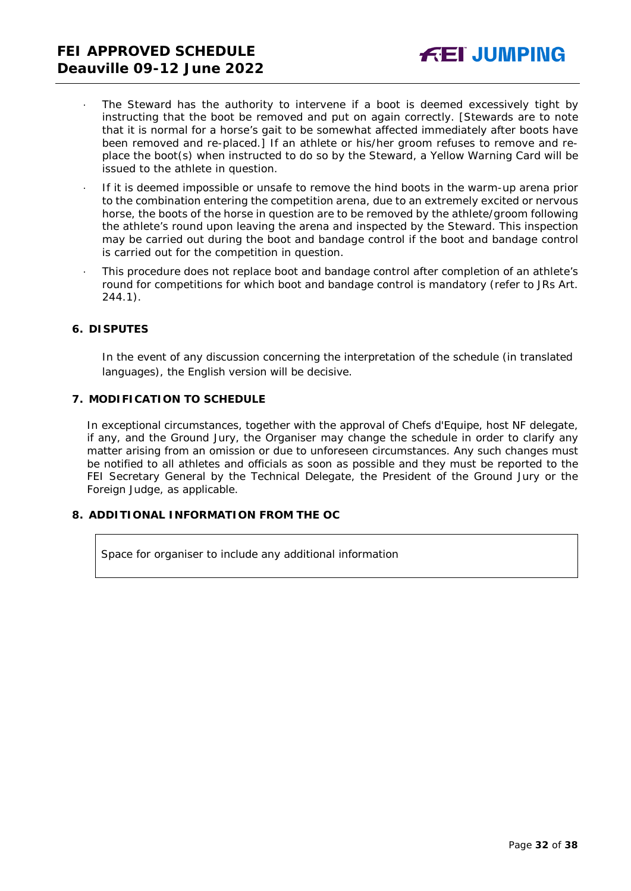- The Steward has the authority to intervene if a boot is deemed excessively tight by instructing that the boot be removed and put on again correctly. *[Stewards are to note that it is normal for a horse's gait to be somewhat affected immediately after boots have been removed and re-placed.]* If an athlete or his/her groom refuses to remove and replace the boot(s) when instructed to do so by the Steward, a Yellow Warning Card will be issued to the athlete in question.
- · If it is deemed impossible or unsafe to remove the hind boots in the warm-up arena prior to the combination entering the competition arena, due to an extremely excited or nervous horse, the boots of the horse in question are to be removed by the athlete/groom following the athlete's round upon leaving the arena and inspected by the Steward. This inspection may be carried out during the boot and bandage control if the boot and bandage control is carried out for the competition in question.
- This procedure does not replace boot and bandage control after completion of an athlete's round for competitions for which boot and bandage control is mandatory (refer to JRs Art. 244.1).

#### <span id="page-31-0"></span>**6. DISPUTES**

In the event of any discussion concerning the interpretation of the schedule (in translated languages), the English version will be decisive.

#### <span id="page-31-1"></span>**7. MODIFICATION TO SCHEDULE**

In exceptional circumstances, together with the approval of Chefs d'Equipe, host NF delegate, if any, and the Ground Jury, the Organiser may change the schedule in order to clarify any matter arising from an omission or due to unforeseen circumstances. Any such changes must be notified to all athletes and officials as soon as possible and they must be reported to the FEI Secretary General by the Technical Delegate, the President of the Ground Jury or the Foreign Judge, as applicable.

## <span id="page-31-2"></span>**8. ADDITIONAL INFORMATION FROM THE OC**

Space for organiser to include any additional information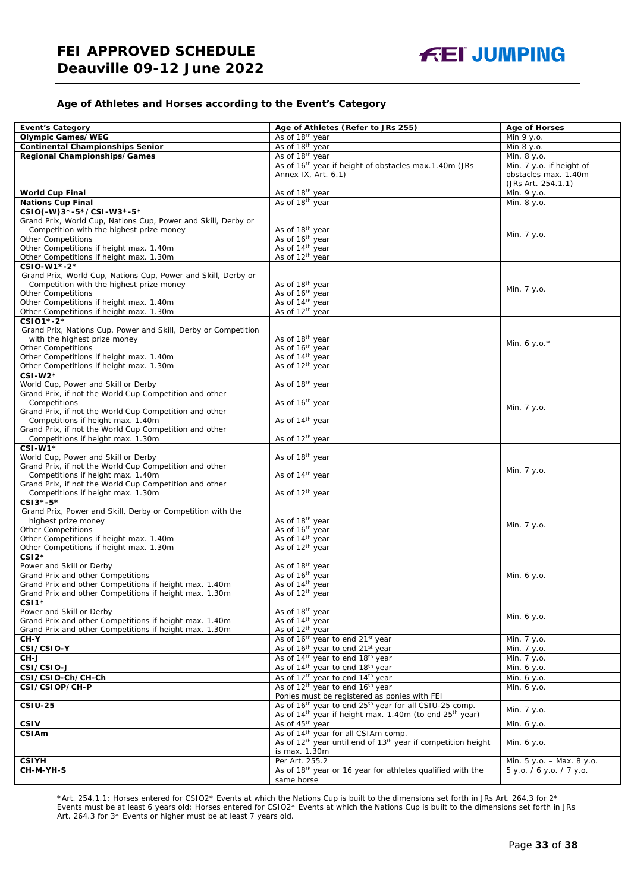#### **Age of Athletes and Horses according to the Event's Category**

| <b>Event's Category</b>                                        | Age of Athletes (Refer to JRs 255)                                                               | <b>Age of Horses</b>                                  |
|----------------------------------------------------------------|--------------------------------------------------------------------------------------------------|-------------------------------------------------------|
| <b>Olympic Games/WEG</b>                                       | As of 18 <sup>th</sup> year                                                                      | Min 9 y.o.                                            |
| <b>Continental Championships Senior</b>                        | As of 18 <sup>th</sup> year                                                                      | Min 8 y.o.                                            |
|                                                                |                                                                                                  | Min. 8 y.o.                                           |
| Regional Championships/Games                                   | As of 18 <sup>th</sup> year<br>As of 16 <sup>th</sup> year if height of obstacles max.1.40m (JRs |                                                       |
|                                                                | Annex IX, Art. 6.1)                                                                              | Min. 7 y.o. if height of<br>obstacles max. 1.40m      |
|                                                                |                                                                                                  | (JRs Art. 254.1.1)                                    |
| <b>World Cup Final</b>                                         | As of 18 <sup>th</sup> year                                                                      | Min. 9 y.o.                                           |
| <b>Nations Cup Final</b>                                       | As of 18 <sup>th</sup> year                                                                      |                                                       |
| CSIO(-W)3*-5*/CSI-W3*-5*                                       |                                                                                                  | Min. 8 y.o.                                           |
| Grand Prix, World Cup, Nations Cup, Power and Skill, Derby or  |                                                                                                  |                                                       |
| Competition with the highest prize money                       | As of 18 <sup>th</sup> year                                                                      |                                                       |
| <b>Other Competitions</b>                                      | As of 16 <sup>th</sup> year                                                                      | Min. 7 y.o.                                           |
| Other Competitions if height max. 1.40m                        | As of 14 <sup>th</sup> year                                                                      |                                                       |
| Other Competitions if height max. 1.30m                        | As of 12 <sup>th</sup> year                                                                      |                                                       |
| CSIO-W1*-2*                                                    |                                                                                                  |                                                       |
| Grand Prix, World Cup, Nations Cup, Power and Skill, Derby or  |                                                                                                  |                                                       |
| Competition with the highest prize money                       | As of 18 <sup>th</sup> year                                                                      |                                                       |
| <b>Other Competitions</b>                                      | As of 16 <sup>th</sup> year                                                                      | Min. 7 y.o.                                           |
| Other Competitions if height max. 1.40m                        | As of 14th year                                                                                  |                                                       |
| Other Competitions if height max. 1.30m                        | As of 12 <sup>th</sup> year                                                                      |                                                       |
| CSI01*-2*                                                      |                                                                                                  |                                                       |
| Grand Prix, Nations Cup, Power and Skill, Derby or Competition |                                                                                                  |                                                       |
| with the highest prize money                                   | As of 18 <sup>th</sup> year                                                                      |                                                       |
| <b>Other Competitions</b>                                      | As of 16 <sup>th</sup> year                                                                      | Min. 6 y.o. $*$                                       |
| Other Competitions if height max. 1.40m                        | As of 14 <sup>th</sup> year                                                                      |                                                       |
| Other Competitions if height max. 1.30m                        | As of 12 <sup>th</sup> year                                                                      |                                                       |
| $CSI-W2*$                                                      |                                                                                                  |                                                       |
| World Cup, Power and Skill or Derby                            | As of 18 <sup>th</sup> year                                                                      |                                                       |
| Grand Prix, if not the World Cup Competition and other         |                                                                                                  |                                                       |
| Competitions                                                   | As of 16 <sup>th</sup> year                                                                      |                                                       |
| Grand Prix, if not the World Cup Competition and other         |                                                                                                  | Min. 7 y.o.                                           |
| Competitions if height max. 1.40m                              | As of 14 <sup>th</sup> year                                                                      |                                                       |
| Grand Prix, if not the World Cup Competition and other         |                                                                                                  |                                                       |
| Competitions if height max. 1.30m                              | As of 12 <sup>th</sup> year                                                                      |                                                       |
| CSI-W1*                                                        |                                                                                                  |                                                       |
| World Cup, Power and Skill or Derby                            | As of 18th year                                                                                  |                                                       |
| Grand Prix, if not the World Cup Competition and other         |                                                                                                  |                                                       |
| Competitions if height max. 1.40m                              | As of 14 <sup>th</sup> year                                                                      | Min. 7 y.o.                                           |
| Grand Prix, if not the World Cup Competition and other         |                                                                                                  |                                                       |
| Competitions if height max. 1.30m                              | As of 12 <sup>th</sup> year                                                                      |                                                       |
| CSI3*-5*                                                       |                                                                                                  |                                                       |
| Grand Prix, Power and Skill, Derby or Competition with the     |                                                                                                  |                                                       |
| highest prize money                                            | As of 18th year                                                                                  |                                                       |
| <b>Other Competitions</b>                                      |                                                                                                  | Min. 7 y.o.                                           |
| Other Competitions if height max. 1.40m                        | As of 16 <sup>th</sup> year<br>As of 14 <sup>th</sup> year                                       |                                                       |
| Other Competitions if height max. 1.30m                        | As of 12 <sup>th</sup> year                                                                      |                                                       |
| $CSI2*$                                                        |                                                                                                  |                                                       |
| Power and Skill or Derby                                       | As of 18 <sup>th</sup> year                                                                      |                                                       |
| Grand Prix and other Competitions                              | As of 16 <sup>th</sup> year                                                                      | Min. 6 y.o.                                           |
| Grand Prix and other Competitions if height max. 1.40m         | As of 14 <sup>th</sup> year                                                                      |                                                       |
| Grand Prix and other Competitions if height max. 1.30m         | As of 12 <sup>th</sup> year                                                                      |                                                       |
| $CSI1*$                                                        |                                                                                                  |                                                       |
| Power and Skill or Derby                                       | As of 18 <sup>th</sup> year                                                                      |                                                       |
| Grand Prix and other Competitions if height max. 1.40m         | As of 14 <sup>th</sup> year                                                                      | Min. 6 y.o.                                           |
| Grand Prix and other Competitions if height max. 1.30m         | As of 12 <sup>th</sup> year                                                                      |                                                       |
| CH-Y                                                           | As of 16 <sup>th</sup> year to end 21st year                                                     | Min. 7 y.o.                                           |
| CSI/CSIO-Y                                                     | As of 16 <sup>th</sup> year to end 21 <sup>st</sup> year                                         | Min. 7 y.o.                                           |
| $CH-J$                                                         | As of 14 <sup>th</sup> year to end 18 <sup>th</sup> year                                         | Min. 7 y.o.                                           |
| CSI/CSIO-J                                                     | As of 14 <sup>th</sup> year to end 18 <sup>th</sup> year                                         | Min. 6 y.o.                                           |
| CSI/CSIO-Ch/CH-Ch                                              | As of 12 <sup>th</sup> year to end 14 <sup>th</sup> year                                         | Min. 6 y.o.                                           |
| CSI/CSIOP/CH-P                                                 | As of 12 <sup>th</sup> year to end 16 <sup>th</sup> year                                         | Min. 6 y.o.                                           |
|                                                                | Ponies must be registered as ponies with FEI                                                     |                                                       |
| <b>CSIU-25</b>                                                 | As of 16 <sup>th</sup> year to end 25 <sup>th</sup> year for all CSIU-25 comp.                   |                                                       |
|                                                                |                                                                                                  | Min. 7 y.o.                                           |
|                                                                | As of 14 <sup>th</sup> year if height max. 1.40m (to end 25 <sup>th</sup> year)                  |                                                       |
| <b>CSIV</b>                                                    | As of 45 <sup>th</sup> year<br>As of 14 <sup>th</sup> year for all CSIAm comp.                   | Min. 6 y.o.                                           |
| <b>CSIAm</b>                                                   | As of 12 <sup>th</sup> year until end of 13 <sup>th</sup> year if competition height             |                                                       |
|                                                                |                                                                                                  | Min. 6 y.o.                                           |
|                                                                | is max. 1.30m                                                                                    |                                                       |
| <b>CSIYH</b>                                                   | Per Art. 255.2<br>As of 18th year or 16 year for athletes qualified with the                     | Min. 5 y.o. - Max. 8 y.o.<br>5 y.o. / 6 y.o. / 7 y.o. |
| CH-M-YH-S                                                      |                                                                                                  |                                                       |
|                                                                | same horse                                                                                       |                                                       |

\*Art. 254.1.1: Horses entered for CSIO2\* Events at which the Nations Cup is built to the dimensions set forth in JRs Art. 264.3 for 2\* Events must be at least 6 years old; Horses entered for CSIO2\* Events at which the Nations Cup is built to the dimensions set forth in JRs Art. 264.3 for 3\* Events or higher must be at least 7 years old.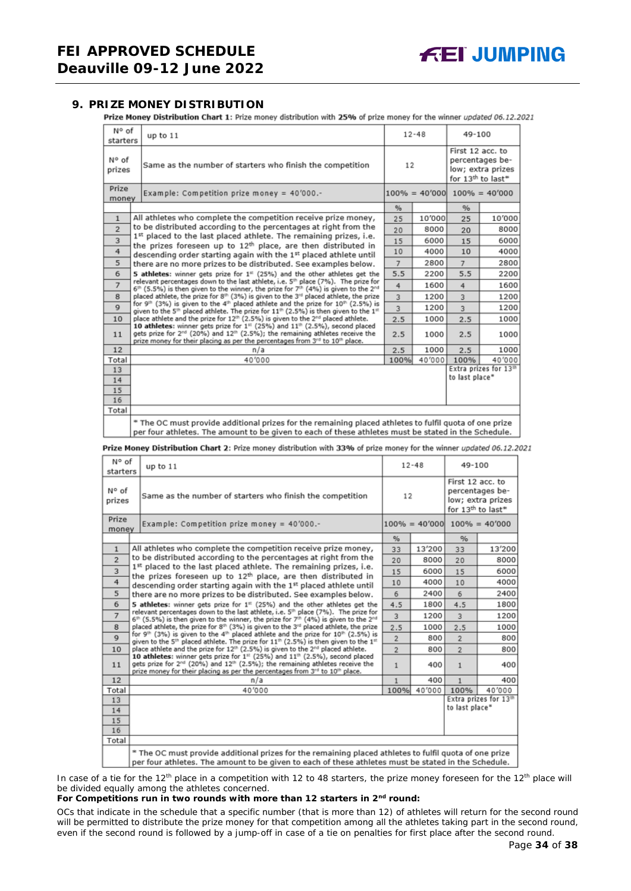### <span id="page-33-0"></span>**9. PRIZE MONEY DISTRIBUTION**

Prize Money Distribution Chart 1: Prize money distribution with 25% of prize money for the winner updated 06.12.2021

| N° of<br>starters | up to 11                                                                                                                                                                                                                                                                                        |      | $12 - 48$ | 49-100           |                                                                       |
|-------------------|-------------------------------------------------------------------------------------------------------------------------------------------------------------------------------------------------------------------------------------------------------------------------------------------------|------|-----------|------------------|-----------------------------------------------------------------------|
| N° of<br>prizes   | Same as the number of starters who finish the competition                                                                                                                                                                                                                                       | 12   |           | First 12 acc. to | percentages be-<br>low; extra prizes<br>for 13 <sup>th</sup> to last* |
| Prize<br>money    | Example: Competition prize money = $40'000$ .-                                                                                                                                                                                                                                                  |      |           |                  | $100\% = 40'000$ $100\% = 40'000$                                     |
|                   |                                                                                                                                                                                                                                                                                                 | %    |           | %                |                                                                       |
| $\mathbf{1}$      | All athletes who complete the competition receive prize money,                                                                                                                                                                                                                                  | 25   | 10'000    | 25               | 10'000                                                                |
| $\overline{2}$    | to be distributed according to the percentages at right from the                                                                                                                                                                                                                                | 20   | 8000      | 20               | 8000                                                                  |
| 3                 | 1st placed to the last placed athlete. The remaining prizes, i.e.<br>the prizes foreseen up to 12 <sup>th</sup> place, are then distributed in                                                                                                                                                  | 15   | 6000      | 15               | 6000                                                                  |
| 4                 | descending order starting again with the 1st placed athlete until                                                                                                                                                                                                                               | 10   | 4000      | 10               | 4000                                                                  |
| 5                 | there are no more prizes to be distributed. See examples below.                                                                                                                                                                                                                                 | 7    | 2800      | $\overline{7}$   | 2800                                                                  |
| 6                 | 5 athletes: winner gets prize for 1 <sup>#</sup> (25%) and the other athletes get the                                                                                                                                                                                                           | 5.5  | 2200      | 5.5              | 2200                                                                  |
| $\overline{7}$    | relevant percentages down to the last athlete, i.e. 5 <sup>th</sup> place (7%). The prize for<br>$6th$ (5.5%) is then given to the winner, the prize for 7 <sup>th</sup> (4%) is given to the 2 <sup>nd</sup>                                                                                   | 4    | 1600      | 4                | 1600                                                                  |
| 8                 | placed athlete, the prize for 8th (3%) is given to the 3rd placed athlete, the prize                                                                                                                                                                                                            | 3    | 1200      | $\overline{3}$   | 1200                                                                  |
| $\mathbf{Q}$      | for 9 <sup>th</sup> (3%) is given to the 4 <sup>th</sup> placed athlete and the prize for 10 <sup>th</sup> (2.5%) is<br>given to the 5 <sup>th</sup> placed athlete. The prize for $11th$ (2.5%) is then given to the $1th$                                                                     | 3    | 1200      | $\overline{3}$   | 1200                                                                  |
| 10                | place athlete and the prize for 12 <sup>th</sup> (2.5%) is given to the 2 <sup>nd</sup> placed athlete.                                                                                                                                                                                         | 2.5  | 1000      | 2.5              | 1000                                                                  |
| 11                | 10 athletes: winner gets prize for $131$ (25%) and $11th$ (2.5%), second placed<br>gets prize for 2 <sup>nd</sup> (20%) and 12 <sup>th</sup> (2.5%); the remaining athletes receive the<br>prize money for their placing as per the percentages from 3 <sup>rd</sup> to 10 <sup>th</sup> place. | 2.5  | 1000      | 2.5              | 1000                                                                  |
| 12                | n/a                                                                                                                                                                                                                                                                                             | 2.5  | 1000      | 2.5              | 1000                                                                  |
| Total             | 40'000                                                                                                                                                                                                                                                                                          | 100% | 40'000    | 100%             | 40'000                                                                |
| 13                |                                                                                                                                                                                                                                                                                                 |      |           |                  | Extra prizes for 13th                                                 |
| 14                |                                                                                                                                                                                                                                                                                                 |      |           | to last place*   |                                                                       |
| 15                |                                                                                                                                                                                                                                                                                                 |      |           |                  |                                                                       |
| 16                |                                                                                                                                                                                                                                                                                                 |      |           |                  |                                                                       |
| Total             |                                                                                                                                                                                                                                                                                                 |      |           |                  |                                                                       |
|                   | * The OC must provide additional prizes for the remaining placed athletes to fulfil quota of one prize<br>per four athletes. The amount to be given to each of these athletes must be stated in the Schedule.                                                                                   |      |           |                  |                                                                       |

Prize Money Distribution Chart 2: Prize money distribution with 33% of prize money for the winner updated 06.12.2021

| N° of<br>starters | up to $11$                                                                                                                                                                                                                                                          |                | $12 - 48$ | 49-100           |                                                                       |
|-------------------|---------------------------------------------------------------------------------------------------------------------------------------------------------------------------------------------------------------------------------------------------------------------|----------------|-----------|------------------|-----------------------------------------------------------------------|
| N° of<br>prizes   | Same as the number of starters who finish the competition                                                                                                                                                                                                           | 12             |           | First 12 acc. to | percentages be-<br>low; extra prizes<br>for 13 <sup>th</sup> to last* |
| Prize<br>money    | Example: Competition prize money = 40'000.-                                                                                                                                                                                                                         |                |           |                  | $100\% = 40'000$ $100\% = 40'000$                                     |
|                   |                                                                                                                                                                                                                                                                     | %              |           | %                |                                                                       |
| $\mathbf{1}$      | All athletes who complete the competition receive prize money,                                                                                                                                                                                                      | 33             | 13'200    | 33               | 13'200                                                                |
| $\overline{2}$    | to be distributed according to the percentages at right from the                                                                                                                                                                                                    | 20             | 8000      | 20               | 8000                                                                  |
| 3                 | 1st placed to the last placed athlete. The remaining prizes, i.e.<br>the prizes foreseen up to 12 <sup>th</sup> place, are then distributed in                                                                                                                      | 15             | 6000      | 15               | 6000                                                                  |
| 4                 | descending order starting again with the 1st placed athlete until                                                                                                                                                                                                   | 10             | 4000      | 10               | 4000                                                                  |
| 5                 | there are no more prizes to be distributed. See examples below.                                                                                                                                                                                                     | 6              | 2400      | 6                | 2400                                                                  |
| 6                 | 5 athletes: winner gets prize for $1st$ (25%) and the other athletes get the                                                                                                                                                                                        | 4.5            | 1800      | 4.5              | 1800                                                                  |
| $\overline{7}$    | relevant percentages down to the last athlete, i.e. 5 <sup>th</sup> place (7%). The prize for<br>6 <sup>th</sup> (5.5%) is then given to the winner, the prize for 7 <sup>th</sup> (4%) is given to the 2 <sup>nd</sup>                                             | 3              | 1200      | $\overline{3}$   | 1200                                                                  |
| 8                 | placed athlete, the prize for 8th (3%) is given to the 3 <sup>rd</sup> placed athlete, the prize                                                                                                                                                                    | 2.5            | 1000      | 2.5              | 1000                                                                  |
| $\mathbf Q$       | for 9th (3%) is given to the 4th placed athlete and the prize for 10th (2.5%) is<br>given to the 5 <sup>th</sup> placed athlete. The prize for 11 <sup>th</sup> (2.5%) is then given to the 1 <sup>st</sup>                                                         | $\overline{2}$ | 800       | $\overline{2}$   | 800                                                                   |
| 10                | place athlete and the prize for 12 <sup>th</sup> (2.5%) is given to the 2 <sup>rd</sup> placed athlete.                                                                                                                                                             | $\overline{2}$ | 800       | $\overline{2}$   | 800                                                                   |
| 11                | 10 athletes: winner gets prize for 1st (25%) and 11th (2.5%), second placed<br>gets prize for 2 <sup>nd</sup> (20%) and 12 <sup>th</sup> (2.5%); the remaining athletes receive the<br>prize money for their placing as per the percentages from 3rd to 10th place. | $\mathbf{1}$   | 400       | $\mathbf{1}$     | 400                                                                   |
| 12                | n/a                                                                                                                                                                                                                                                                 | 1              | 400       | 1                | 400                                                                   |
| Total             | 40'000                                                                                                                                                                                                                                                              | 100%           | 40'000    | 100%             | 40'000                                                                |
| 13                |                                                                                                                                                                                                                                                                     |                |           | to last place*   | Extra prizes for 13th                                                 |
| 14                |                                                                                                                                                                                                                                                                     |                |           |                  |                                                                       |
| 15                |                                                                                                                                                                                                                                                                     |                |           |                  |                                                                       |
| 16                |                                                                                                                                                                                                                                                                     |                |           |                  |                                                                       |
| Total             |                                                                                                                                                                                                                                                                     |                |           |                  |                                                                       |
|                   | * The OC must provide additional prizes for the remaining placed athletes to fulfil quota of one prize<br>per four athletes. The amount to be given to each of these athletes must be stated in the Schedule.                                                       |                |           |                  |                                                                       |

In case of a tie for the 12<sup>th</sup> place in a competition with 12 to 48 starters, the prize money foreseen for the 12<sup>th</sup> place will be divided equally among the athletes concerned.

#### **For Competitions run in two rounds with more than 12 starters in 2nd round:**

*OCs that indicate in the schedule that a specific number (that is more than 12) of athletes will return for the second round will be permitted to distribute the prize money for that competition among all the athletes taking part in the second round, even if the second round is followed by a jump-off in case of a tie on penalties for first place after the second round.*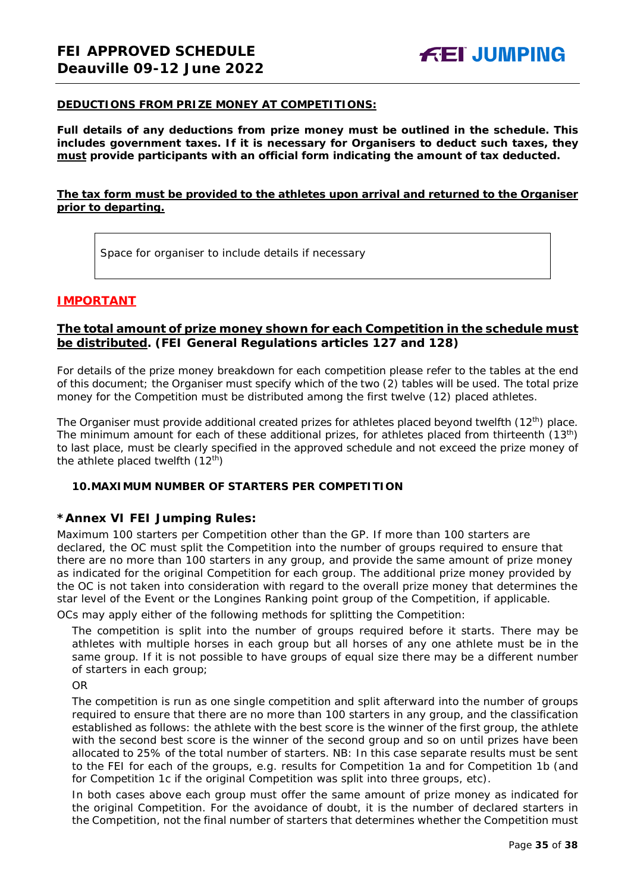#### **DEDUCTIONS FROM PRIZE MONEY AT COMPETITIONS:**

**Full details of any deductions from prize money must be outlined in the schedule. This includes government taxes. If it is necessary for Organisers to deduct such taxes, they must provide participants with an official form indicating the amount of tax deducted.** 

## **The tax form must be provided to the athletes upon arrival and returned to the Organiser prior to departing.**

Space for organiser to include details if necessary

## **IMPORTANT**

## **The total amount of prize money shown for each Competition in the schedule must be distributed. (FEI General Regulations articles 127 and 128)**

For details of the prize money breakdown for each competition please refer to the tables at the end of this document; the Organiser must specify which of the two (2) tables will be used. The total prize money for the Competition must be distributed among the first twelve (12) placed athletes.

The Organiser must provide additional created prizes for athletes placed beyond twelfth (12<sup>th</sup>) place. The minimum amount for each of these additional prizes, for athletes placed from thirteenth (13<sup>th</sup>) to last place, must be clearly specified in the approved schedule and not exceed the prize money of the athlete placed twelfth  $(12<sup>th</sup>)$ 

#### <span id="page-34-0"></span>**10.MAXIMUM NUMBER OF STARTERS PER COMPETITION**

### **\*Annex VI FEI Jumping Rules:**

Maximum 100 starters per Competition other than the GP. If more than 100 starters are declared, the OC must split the Competition into the number of groups required to ensure that there are no more than 100 starters in any group, and provide the same amount of prize money as indicated for the original Competition for each group. The additional prize money provided by the OC is not taken into consideration with regard to the overall prize money that determines the star level of the Event or the Longines Ranking point group of the Competition, if applicable.

OCs may apply either of the following methods for splitting the Competition:

The competition is split into the number of groups required before it starts. There may be athletes with multiple horses in each group but all horses of any one athlete must be in the same group. If it is not possible to have groups of equal size there may be a different number of starters in each group;

OR

The competition is run as one single competition and split afterward into the number of groups required to ensure that there are no more than 100 starters in any group, and the classification established as follows: the athlete with the best score is the winner of the first group, the athlete with the second best score is the winner of the second group and so on until prizes have been allocated to 25% of the total number of starters. *NB: In this case separate results must be sent to the FEI for each of the groups, e.g. results for Competition 1a and for Competition 1b (and for Competition 1c if the original Competition was split into three groups, etc).*

In both cases above each group must offer the same amount of prize money as indicated for the original Competition. For the avoidance of doubt, it is the number of declared starters in the Competition, not the final number of starters that determines whether the Competition must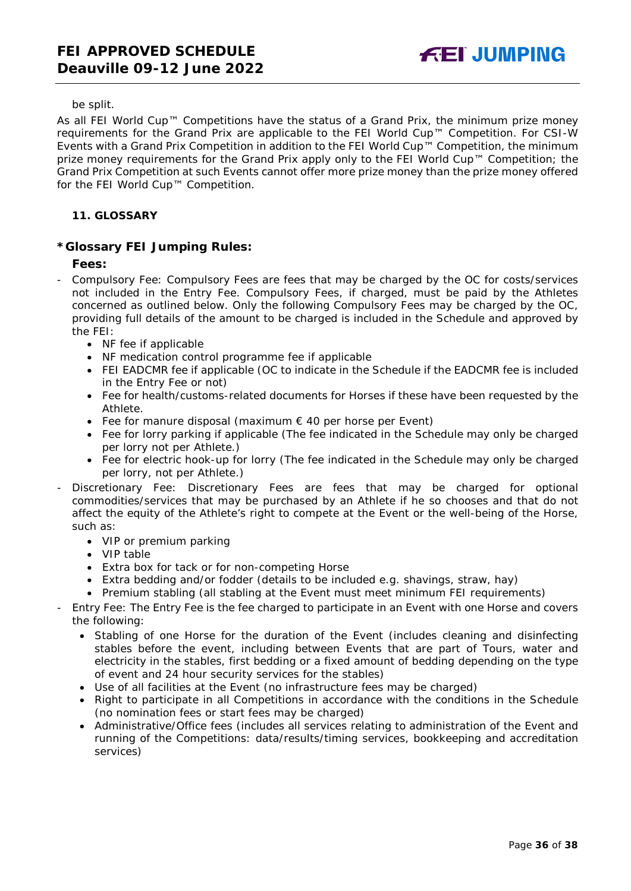be split.

As all FEI World Cup™ Competitions have the status of a Grand Prix, the minimum prize money requirements for the Grand Prix are applicable to the FEI World Cup™ Competition. For CSI-W Events with a Grand Prix Competition in addition to the FEI World Cup™ Competition, the minimum prize money requirements for the Grand Prix apply only to the FEI World Cup™ Competition; the Grand Prix Competition at such Events cannot offer more prize money than the prize money offered for the FEI World Cup™ Competition.

## <span id="page-35-0"></span>**11. GLOSSARY**

## **\*Glossary FEI Jumping Rules:**

### **Fees:**

- Compulsory Fee: Compulsory Fees are fees that may be charged by the OC for costs/services not included in the Entry Fee. Compulsory Fees, if charged, must be paid by the Athletes concerned as outlined below. Only the following Compulsory Fees may be charged by the OC, providing full details of the amount to be charged is included in the Schedule and approved by the FEI:
	- NF fee if applicable
	- NF medication control programme fee if applicable
	- FEI EADCMR fee if applicable (OC to indicate in the Schedule if the EADCMR fee is included in the Entry Fee or not)
	- Fee for health/customs-related documents for Horses if these have been requested by the Athlete.
	- Fee for manure disposal (maximum € 40 per horse per Event)
	- Fee for lorry parking if applicable (The fee indicated in the Schedule may only be charged per lorry not per Athlete.)
	- Fee for electric hook-up for lorry (The fee indicated in the Schedule may only be charged per lorry, not per Athlete.)
- Discretionary Fee: Discretionary Fees are fees that may be charged for optional commodities/services that may be purchased by an Athlete if he so chooses and that do not affect the equity of the Athlete's right to compete at the Event or the well-being of the Horse, such as:
	- VIP or premium parking
	- VIP table
	- Extra box for tack or for non-competing Horse
	- Extra bedding and/or fodder (details to be included e.g. shavings, straw, hay)
	- Premium stabling (all stabling at the Event must meet minimum FEI requirements)
- Entry Fee: The Entry Fee is the fee charged to participate in an Event with one Horse and covers the following:
	- Stabling of one Horse for the duration of the Event (includes cleaning and disinfecting stables before the event, including between Events that are part of Tours, water and electricity in the stables, first bedding or a fixed amount of bedding depending on the type of event and 24 hour security services for the stables)
	- Use of all facilities at the Event (no infrastructure fees may be charged)
	- Right to participate in all Competitions in accordance with the conditions in the Schedule (no nomination fees or start fees may be charged)
	- Administrative/Office fees (includes all services relating to administration of the Event and running of the Competitions: data/results/timing services, bookkeeping and accreditation services)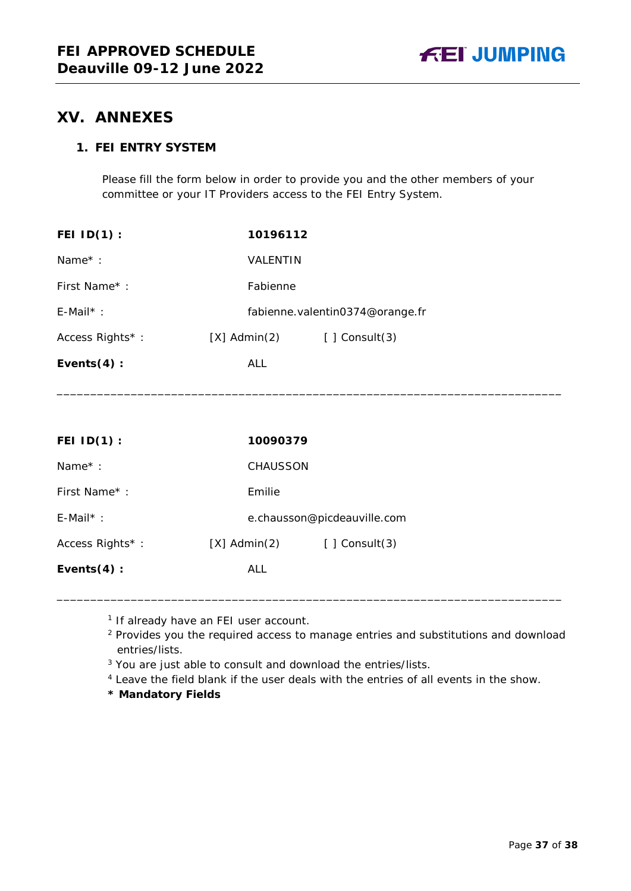

# <span id="page-36-0"></span>**XV. ANNEXES**

# **1. FEI ENTRY SYSTEM**

Please fill the form below in order to provide you and the other members of your committee or your IT Providers access to the FEI Entry System.

| <b>FEI ID(1):</b>   | 10196112          |                                 |
|---------------------|-------------------|---------------------------------|
| Name <sup>*</sup> : | <b>VALENTIN</b>   |                                 |
| First Name*:        | Fabienne          |                                 |
| $E$ -Mail*:         |                   | fabienne.valentin0374@orange.fr |
| Access Rights*:     | $[X]$ Admin $(2)$ | $\lceil$   Consult(3)           |
| Events $(4)$ :      | <b>ALL</b>        |                                 |
|                     |                   |                                 |

| FEI $ID(1)$ :       | 10090379          |                             |  |
|---------------------|-------------------|-----------------------------|--|
| Name <sup>*</sup> : | <b>CHAUSSON</b>   |                             |  |
| First Name*:        | Emilie            |                             |  |
| $E$ -Mail*:         |                   | e.chausson@picdeauville.com |  |
| Access Rights*:     | $[X]$ Admin $(2)$ | $[ ]$ Consult $(3)$         |  |
| Events $(4)$ :      | ALL               |                             |  |

\_\_\_\_\_\_\_\_\_\_\_\_\_\_\_\_\_\_\_\_\_\_\_\_\_\_\_\_\_\_\_\_\_\_\_\_\_\_\_\_\_\_\_\_\_\_\_\_\_\_\_\_\_\_\_\_\_\_\_\_\_\_\_\_\_\_\_\_\_\_\_\_\_\_\_

\_\_\_\_\_\_\_\_\_\_\_\_\_\_\_\_\_\_\_\_\_\_\_\_\_\_\_\_\_\_\_\_\_\_\_\_\_\_\_\_\_\_\_\_\_\_\_\_\_\_\_\_\_\_\_\_\_\_\_\_\_\_\_\_\_\_\_\_\_\_\_\_\_\_\_

<sup>1</sup> If already have an FEI user account.

<sup>2</sup> Provides you the required access to manage entries and substitutions and download entries/lists.

<sup>3</sup> You are just able to consult and download the entries/lists.

<sup>4</sup> Leave the field blank if the user deals with the entries of all events in the show.

**\* Mandatory Fields**